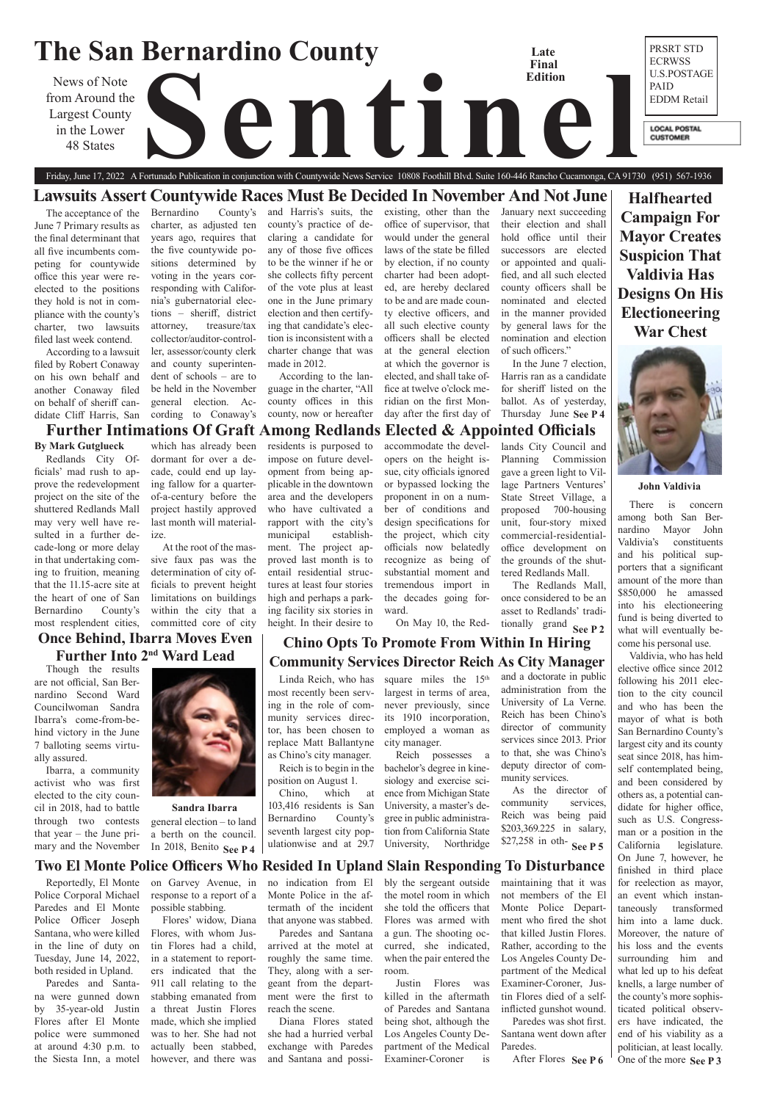### **The San Bernardino County** PRSRT STD **Late**  ECRWSS **Final**  U.S.POSTAGE **Edition** News of Note<br>rom Around the<br>in the Lower<br>48 States PAID from Around the EDDM Retail Largest County in the Lower **LOCAL POSTAL CUSTOMER** 48 States Friday, June 17, 2022 A Fortunado Publication in conjunction with Countywide News Service 10808 Foothill Blvd. Suite 160-446 Rancho Cucamonga, CA 91730 (951) 567-1936

# tionally grand See P 2 **Chino Opts To Promote From Within In Hiring Community Services Director Reich As City Manager**

**Halfhearted Campaign For Mayor Creates Suspicion That Valdivia Has Designs On His Electioneering War Chest** 



**Further Intimations Of Graft Among Redlands Elected & Appointed Officials** 

# **Two El Monte Police Officers Who Resided In Upland Slain Responding To Disturbance**

# **Lawsuits Assert Countywide Races Must Be Decided In November And Not June**

## **John Valdivia**

## **By Mark Gutglueck**

Redlands City Officials' mad rush to approve the redevelopment project on the site of the shuttered Redlands Mall may very well have resulted in a further decade-long or more delay in that undertaking coming to fruition, meaning that the 11.15-acre site at the heart of one of San Bernardino County's most resplendent cities,

which has already been dormant for over a decade, could end up laying fallow for a quarterof-a-century before the project hastily approved last month will materialize.

At the root of the mas-

sive faux pas was the determination of city officials to prevent height limitations on buildings within the city that a committed core of city

residents is purposed to impose on future development from being applicable in the downtown area and the developers who have cultivated a rapport with the city's municipal establishment. The project approved last month is to entail residential structures at least four stories high and perhaps a parking facility six stories in height. In their desire to

accommodate the devel-

opers on the height issue, city officials ignored or bypassed locking the proponent in on a number of conditions and design specifications for the project, which city officials now belatedly recognize as being of substantial moment and tremendous import in the decades going forward.

On May 10, the Red-

Thursday June See P 4 In the June 7 election, Harris ran as a candidate for sheriff listed on the ballot. As of yesterday,

lands City Council and Planning Commission gave a green light to Village Partners Ventures' State Street Village, a proposed 700-housing unit, four-story mixed commercial-residentialoffice development on the grounds of the shuttered Redlands Mall. The Redlands Mall, once considered to be an asset to Redlands' tradi-

The acceptance of the June 7 Primary results as the final determinant that all five incumbents competing for countywide office this year were reelected to the positions they hold is not in compliance with the county's charter, two lawsuits filed last week contend.

> One of the more See P 3 Valdivia, who has held elective office since 2012 following his 2011 election to the city council and who has been the mayor of what is both San Bernardino County's largest city and its county seat since 2018, has himself contemplated being, and been considered by others as, a potential candidate for higher office, such as U.S. Congressman or a position in the California legislature. On June 7, however, he finished in third place for reelection as mayor, an event which instantaneously transformed him into a lame duck. Moreover, the nature of his loss and the events surrounding him and what led up to his defeat knells, a large number of the county's more sophisticated political observers have indicated, the end of his viability as a politician, at least locally.





According to a lawsuit filed by Robert Conaway on his own behalf and another Conaway filed on behalf of sheriff candidate Cliff Harris, San

Bernardino County's charter, as adjusted ten years ago, requires that the five countywide positions determined by voting in the years corresponding with California's gubernatorial elections – sheriff, district attorney, treasure/tax collector/auditor-controller, assessor/county clerk and county superintendent of schools – are to be held in the November general election. According to Conaway's

> square miles the 15<sup>th</sup> largest in terms of area, never previously, since

and Harris's suits, the county's practice of declaring a candidate for any of those five offices to be the winner if he or she collects fifty percent of the vote plus at least one in the June primary election and then certifying that candidate's election is inconsistent with a charter change that was made in 2012.

> \$27,258 in oth- **See P 5** As the director of community services, Reich was being paid \$203,369.225 in salary,

According to the language in the charter, "All county offices in this county, now or hereafter

existing, other than the office of supervisor, that would under the general laws of the state be filled by election, if no county charter had been adopted, are hereby declared to be and are made county elective officers, and all such elective county officers shall be elected at the general election at which the governor is elected, and shall take office at twelve o'clock meridian on the first Monday after the first day of

January next succeeding their election and shall hold office until their successors are elected or appointed and qualified, and all such elected county officers shall be nominated and elected in the manner provided by general laws for the nomination and election of such officers."

After Flores See P6 maintaining that it was not members of the El Monte Police Department who fired the shot that killed Justin Flores. Rather, according to the Los Angeles County Department of the Medical Examiner-Coroner, Justin Flores died of a selfinflicted gunshot wound. Paredes was shot first. Santana went down after Paredes.

There is concern among both San Bernardino Mayor John Valdivia's constituents and his political supporters that a significant amount of the more than \$850,000 he amassed into his electioneering fund is being diverted to what will eventually become his personal use.

Though the results are not official, San Bernardino Second Ward Councilwoman Sandra Ibarra's come-from-behind victory in the June 7 balloting seems virtually assured.

Ibarra, a community activist who was first elected to the city council in 2018, had to battle through two contests that year – the June primary and the November

# **Once Behind, Ibarra Moves Even Further Into 2nd Ward Lead**

Linda Reich, who has most recently been serving in the role of community services director, has been chosen to replace Matt Ballantyne as Chino's city manager.

Reich is to begin in the position on August 1.

Chino, which at 103,416 residents is San Bernardino County's seventh largest city populationwise and at 29.7

## general election – to land a berth on the council. In 2018, Benito **See P 4 Sandra Ibarra**

its 1910 incorporation, employed a woman as city manager.

Reich possesses a bachelor's degree in kinesiology and exercise science from Michigan State University, a master's degree in public administration from California State University, Northridge

and a doctorate in public administration from the University of La Verne. Reich has been Chino's director of community services since 2013. Prior to that, she was Chino's deputy director of community services.

Reportedly, El Monte Police Corporal Michael Paredes and El Monte Police Officer Joseph Santana, who were killed in the line of duty on Tuesday, June 14, 2022, both resided in Upland.

Paredes and Santana were gunned down by 35-year-old Justin Flores after El Monte police were summoned at around 4:30 p.m. to the Siesta Inn, a motel

on Garvey Avenue, in response to a report of a possible stabbing. Flores' widow, Diana Flores, with whom Justin Flores had a child, in a statement to reporters indicated that the 911 call relating to the stabbing emanated from a threat Justin Flores made, which she implied was to her. She had not actually been stabbed, however, and there was

no indication from El Monte Police in the aftermath of the incident that anyone was stabbed. Paredes and Santana arrived at the motel at roughly the same time. They, along with a sergeant from the department were the first to reach the scene. Diana Flores stated

she had a hurried verbal exchange with Paredes and Santana and possi-

bly the sergeant outside the motel room in which she told the officers that Flores was armed with a gun. The shooting occurred, she indicated, when the pair entered the room. Justin Flores was killed in the aftermath of Paredes and Santana being shot, although the Los Angeles County Department of the Medical Examiner-Coroner is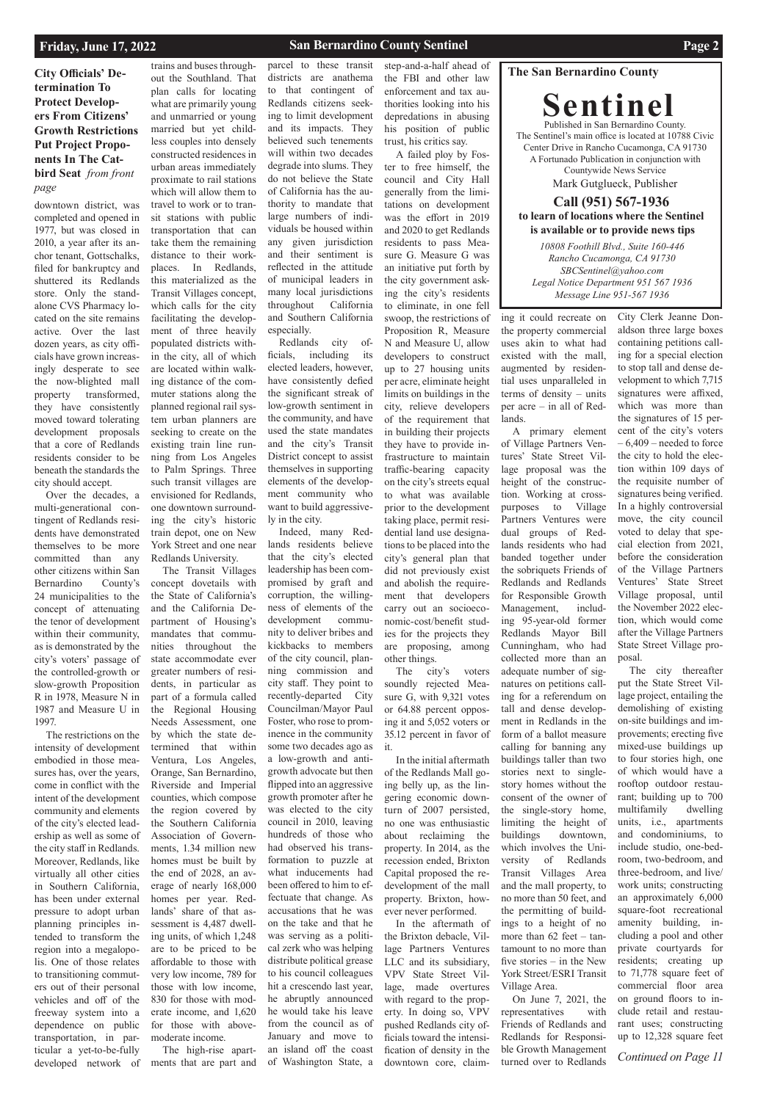## **The San Bernardino County**

**Sentinel** Published in San Bernardino County. The Sentinel's main office is located at 10788 Civic Center Drive in Rancho Cucamonga, CA 91730 A Fortunado Publication in conjunction with Countywide News Service Mark Gutglueck, Publisher

## **Call (951) 567-1936 to learn of locations where the Sentinel is available or to provide news tips**

# **City Officials' Determination To Protect Developers From Citizens' Growth Restrictions Put Project Proponents In The Catbird Seat** *from front page*

*10808 Foothill Blvd., Suite 160-446 Rancho Cucamonga, CA 91730 SBCSentinel@yahoo.com Legal Notice Department 951 567 1936 Message Line 951-567 1936*

## **Friday, June 17, 2022**

# **San Bernardino County Sentinel <b>Page 2 Page 2**

downtown district, was completed and opened in 1977, but was closed in 2010, a year after its anchor tenant, Gottschalks, filed for bankruptcy and shuttered its Redlands store. Only the standalone CVS Pharmacy located on the site remains active. Over the last dozen years, as city officials have grown increasingly desperate to see the now-blighted mall property transformed, they have consistently moved toward tolerating development proposals that a core of Redlands residents consider to be beneath the standards the city should accept.

Over the decades, a multi-generational contingent of Redlands residents have demonstrated themselves to be more committed than any other citizens within San Bernardino County's 24 municipalities to the concept of attenuating the tenor of development within their community, as is demonstrated by the city's voters' passage of the controlled-growth or slow-growth Proposition R in 1978, Measure N in 1987 and Measure U in 1997.

The restrictions on the intensity of development embodied in those measures has, over the years, come in conflict with the intent of the development community and elements of the city's elected leadership as well as some of the city staff in Redlands. Moreover, Redlands, like virtually all other cities in Southern California, has been under external pressure to adopt urban planning principles intended to transform the region into a megalopolis. One of those relates to transitioning commuters out of their personal vehicles and off of the freeway system into a dependence on public transportation, in particular a yet-to-be-fully developed network of

trains and buses throughout the Southland. That plan calls for locating what are primarily young and unmarried or young married but yet childless couples into densely constructed residences in urban areas immediately proximate to rail stations which will allow them to travel to work or to transit stations with public transportation that can take them the remaining distance to their workplaces. In Redlands, this materialized as the Transit Villages concept, which calls for the city facilitating the development of three heavily populated districts within the city, all of which are located within walking distance of the commuter stations along the planned regional rail system urban planners are seeking to create on the existing train line running from Los Angeles to Palm Springs. Three such transit villages are envisioned for Redlands, one downtown surrounding the city's historic train depot, one on New

Redlands University. The Transit Villages concept dovetails with the State of California's and the California Department of Housing's mandates that communities throughout the state accommodate ever greater numbers of residents, in particular as part of a formula called the Regional Housing Needs Assessment, one by which the state determined that within Ventura, Los Angeles, Orange, San Bernardino, Riverside and Imperial counties, which compose the region covered by the Southern California Association of Governments, 1.34 million new homes must be built by the end of 2028, an average of nearly 168,000 homes per year. Redlands' share of that assessment is 4,487 dwelling units, of which 1,248 are to be priced to be affordable to those with very low income, 789 for those with low income, 830 for those with moderate income, and 1,620 for those with abovemoderate income. The high-rise apartments that are part and

parcel to these transit districts are anathema to that contingent of Redlands citizens seeking to limit development and its impacts. They believed such tenements will within two decades degrade into slums. They do not believe the State of California has the authority to mandate that large numbers of individuals be housed within any given jurisdiction and their sentiment is reflected in the attitude of municipal leaders in many local jurisdictions throughout California and Southern California especially.

York Street and one near Indeed, many Redlands residents believe that the city's elected leadership has been compromised by graft and corruption, the willingness of elements of the development community to deliver bribes and kickbacks to members of the city council, planning commission and city staff. They point to recently-departed City Councilman/Mayor Paul Foster, who rose to prominence in the community some two decades ago as a low-growth and antigrowth advocate but then flipped into an aggressive growth promoter after he was elected to the city council in 2010, leaving hundreds of those who had observed his transformation to puzzle at what inducements had been offered to him to effectuate that change. As accusations that he was on the take and that he was serving as a political zerk who was helping distribute political grease to his council colleagues hit a crescendo last year, he abruptly announced he would take his leave from the council as of January and move to an island off the coast of Washington State, a

Redlands city officials, including its elected leaders, however, have consistently defied the significant streak of low-growth sentiment in the community, and have used the state mandates and the city's Transit District concept to assist themselves in supporting elements of the development community who want to build aggressively in the city.

> *Continued on Page 11* The city thereafter put the State Street Village project, entailing the demolishing of existing on-site buildings and improvements; erecting five mixed-use buildings up to four stories high, one of which would have a rooftop outdoor restaurant; building up to 700 multifamily dwelling units, i.e., apartments and condominiums, to include studio, one-bedroom, two-bedroom, and three-bedroom, and live/ work units; constructing an approximately 6,000 square-foot recreational amenity building, including a pool and other private courtyards for residents; creating up to 71,778 square feet of commercial floor area on ground floors to include retail and restaurant uses; constructing up to 12,328 square feet

step-and-a-half ahead of the FBI and other law enforcement and tax authorities looking into his depredations in abusing his position of public trust, his critics say.

A failed ploy by Foster to free himself, the council and City Hall generally from the limitations on development was the effort in 2019 and 2020 to get Redlands residents to pass Measure G. Measure G was an initiative put forth by the city government asking the city's residents to eliminate, in one fell swoop, the restrictions of Proposition R, Measure N and Measure U, allow developers to construct up to 27 housing units per acre, eliminate height limits on buildings in the city, relieve developers of the requirement that in building their projects they have to provide infrastructure to maintain traffic-bearing capacity on the city's streets equal to what was available prior to the development taking place, permit residential land use designations to be placed into the city's general plan that did not previously exist and abolish the requirement that developers carry out an socioeconomic‐cost/benefit studies for the projects they are proposing, among other things.

The city's voters soundly rejected Measure G, with 9,321 votes or 64.88 percent opposing it and 5,052 voters or 35.12 percent in favor of it.

In the initial aftermath of the Redlands Mall going belly up, as the lingering economic downturn of 2007 persisted, no one was enthusiastic about reclaiming the property. In 2014, as the recession ended, Brixton Capital proposed the redevelopment of the mall property. Brixton, however never performed. In the aftermath of the Brixton debacle, Village Partners Ventures LLC and its subsidiary, VPV State Street Village, made overtures with regard to the property. In doing so, VPV pushed Redlands city officials toward the intensification of density in the downtown core, claiming it could recreate on the property commercial uses akin to what had existed with the mall, augmented by residential uses unparalleled in terms of density – units per acre – in all of Redlands.

A primary element of Village Partners Ventures' State Street Village proposal was the height of the construction. Working at crosspurposes to Village Partners Ventures were dual groups of Redlands residents who had banded together under the sobriquets Friends of Redlands and Redlands for Responsible Growth Management, including 95-year-old former Redlands Mayor Bill Cunningham, who had collected more than an adequate number of signatures on petitions calling for a referendum on tall and dense development in Redlands in the form of a ballot measure calling for banning any buildings taller than two stories next to singlestory homes without the consent of the owner of the single-story home, limiting the height of buildings downtown, which involves the University of Redlands Transit Villages Area and the mall property, to no more than 50 feet, and the permitting of buildings to a height of no more than 62 feet – tantamount to no more than five stories – in the New York Street/ESRI Transit Village Area. On June 7, 2021, the representatives with Friends of Redlands and Redlands for Responsible Growth Management turned over to Redlands

City Clerk Jeanne Donaldson three large boxes containing petitions calling for a special election to stop tall and dense development to which 7,715 signatures were affixed, which was more than the signatures of 15 percent of the city's voters – 6,409 – needed to force the city to hold the election within 109 days of the requisite number of signatures being verified. In a highly controversial move, the city council voted to delay that special election from 2021, before the consideration of the Village Partners Ventures' State Street Village proposal, until the November 2022 election, which would come after the Village Partners State Street Village proposal.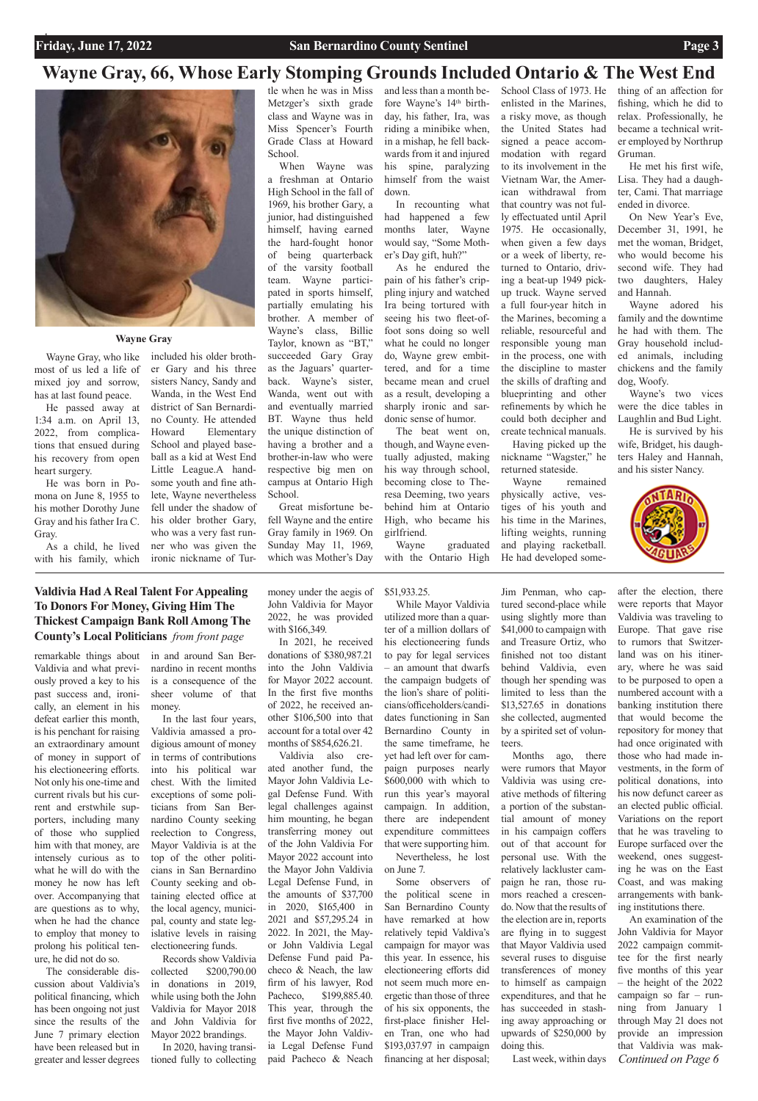# **Wayne Gray, 66, Whose Early Stomping Grounds Included Ontario & The West End**



## **Wayne Gray**

remarkable things about Valdivia and what previously proved a key to his past success and, ironically, an element in his defeat earlier this month, is his penchant for raising an extraordinary amount of money in support of his electioneering efforts. Not only his one-time and current rivals but his current and erstwhile supporters, including many of those who supplied him with that money, are intensely curious as to what he will do with the money he now has left over. Accompanying that are questions as to why, when he had the chance to employ that money to prolong his political tenure, he did not do so. The considerable discussion about Valdivia's political financing, which has been ongoing not just since the results of the June 7 primary election have been released but in greater and lesser degrees in and around San Bernardino in recent months is a consequence of the sheer volume of that money.

In the last four years, Valdivia amassed a prodigious amount of money in terms of contributions into his political war chest. With the limited exceptions of some politicians from San Bernardino County seeking reelection to Congress, Mayor Valdivia is at the top of the other politicians in San Bernardino County seeking and obtaining elected office at the local agency, municipal, county and state legislative levels in raising electioneering funds. Records show Valdivia collected \$200,790.00 in donations in 2019, while using both the John Valdivia for Mayor 2018 and John Valdivia for Mayor 2022 brandings. In 2020, having transitioned fully to collecting money under the aegis of John Valdivia for Mayor 2022, he was provided with \$166,349.

In 2021, he received donations of \$380,987.21 into the John Valdivia for Mayor 2022 account. In the first five months of 2022, he received another \$106,500 into that account for a total over 42 months of \$854,626.21.

Valdivia also created another fund, the Mayor John Valdivia Legal Defense Fund. With legal challenges against him mounting, he began transferring money out of the John Valdivia For Mayor 2022 account into the Mayor John Valdivia Legal Defense Fund, in the amounts of \$37,700 in 2020, \$165,400 in 2021 and \$57,295.24 in 2022. In 2021, the Mayor John Valdivia Legal Defense Fund paid Pacheco & Neach, the law firm of his lawyer, Rod Pacheco, \$199,885.40. This year, through the first five months of 2022, the Mayor John Valdivia Legal Defense Fund paid Pacheco & Neach

## \$51,933.25.

*Continued on Page 6* after the election, there were reports that Mayor Valdivia was traveling to Europe. That gave rise to rumors that Switzerland was on his itinerary, where he was said to be purposed to open a numbered account with a banking institution there that would become the repository for money that had once originated with those who had made investments, in the form of political donations, into his now defunct career as an elected public official. Variations on the report that he was traveling to Europe surfaced over the weekend, ones suggesting he was on the East Coast, and was making arrangements with banking institutions there. An examination of the John Valdivia for Mayor 2022 campaign committee for the first nearly five months of this year – the height of the 2022 campaign so far – running from January 1 through May 21 does not provide an impression that Valdivia was mak-

While Mayor Valdivia utilized more than a quarter of a million dollars of his electioneering funds to pay for legal services – an amount that dwarfs the campaign budgets of the lion's share of politicians/officeholders/candidates functioning in San Bernardino County in the same timeframe, he yet had left over for campaign purposes nearly \$600,000 with which to run this year's mayoral campaign. In addition, there are independent expenditure committees

that were supporting him. Nevertheless, he lost

on June 7. Some observers of the political scene in San Bernardino County have remarked at how relatively tepid Valdiva's campaign for mayor was this year. In essence, his electioneering efforts did not seem much more energetic than those of three of his six opponents, the first-place finisher Helen Tran, one who had \$193,037.97 in campaign financing at her disposal;

Jim Penman, who captured second-place while using slightly more than \$41,000 to campaign with and Treasure Ortiz, who finished not too distant behind Valdivia, even though her spending was limited to less than the \$13,527.65 in donations she collected, augmented by a spirited set of volunteers.

Months ago, there were rumors that Mayor Valdivia was using creative methods of filtering a portion of the substantial amount of money in his campaign coffers out of that account for personal use. With the relatively lackluster campaign he ran, those rumors reached a crescendo. Now that the results of the election are in, reports are flying in to suggest that Mayor Valdivia used several ruses to disguise transferences of money to himself as campaign expenditures, and that he has succeeded in stashing away approaching or upwards of \$250,000 by doing this. Last week, within days

Wayne Gray, who like most of us led a life of mixed joy and sorrow, has at last found peace.

He passed away at 1:34 a.m. on April 13, 2022, from complications that ensued during his recovery from open heart surgery.

He was born in Pomona on June 8, 1955 to his mother Dorothy June Gray and his father Ira C. Gray.

As a child, he lived with his family, which included his older brother Gary and his three sisters Nancy, Sandy and Wanda, in the West End district of San Bernardino County. He attended Howard Elementary School and played baseball as a kid at West End Little League.A handsome youth and fine athlete, Wayne nevertheless fell under the shadow of his older brother Gary, who was a very fast runner who was given the ironic nickname of Turtle when he was in Miss Metzger's sixth grade class and Wayne was in Miss Spencer's Fourth Grade Class at Howard School.

When Wayne was a freshman at Ontario High School in the fall of 1969, his brother Gary, a junior, had distinguished himself, having earned the hard-fought honor of being quarterback of the varsity football team. Wayne participated in sports himself, partially emulating his brother. A member of Wayne's class, Billie Taylor, known as "BT," succeeded Gary Gray as the Jaguars' quarterback. Wayne's sister, Wanda, went out with and eventually married BT. Wayne thus held the unique distinction of having a brother and a brother-in-law who were respective big men on campus at Ontario High School.

Great misfortune befell Wayne and the entire Gray family in 1969. On Sunday May 11, 1969, which was Mother's Day and less than a month before Wayne's 14th birthday, his father, Ira, was riding a minibike when, in a mishap, he fell backwards from it and injured his spine, paralyzing himself from the waist down.

In recounting what had happened a few months later, Wayne would say, "Some Mother's Day gift, huh?"

As he endured the pain of his father's crippling injury and watched Ira being tortured with seeing his two fleet-offoot sons doing so well what he could no longer do, Wayne grew embittered, and for a time became mean and cruel as a result, developing a sharply ironic and sardonic sense of humor.

The beat went on, though, and Wayne eventually adjusted, making his way through school, becoming close to Theresa Deeming, two years behind him at Ontario High, who became his girlfriend.

Wayne graduated with the Ontario High

School Class of 1973. He enlisted in the Marines, a risky move, as though the United States had signed a peace accommodation with regard to its involvement in the Vietnam War, the American withdrawal from that country was not fully effectuated until April 1975. He occasionally, when given a few days or a week of liberty, returned to Ontario, driving a beat-up 1949 pickup truck. Wayne served a full four-year hitch in the Marines, becoming a reliable, resourceful and responsible young man in the process, one with the discipline to master the skills of drafting and blueprinting and other refinements by which he could both decipher and create technical manuals.

Having picked up the nickname "Wagster," he returned stateside.

Wayne remained physically active, vestiges of his youth and his time in the Marines, lifting weights, running and playing racketball. He had developed something of an affection for fishing, which he did to relax. Professionally, he became a technical writer employed by Northrup Gruman.

He met his first wife, Lisa. They had a daughter, Cami. That marriage ended in divorce.

On New Year's Eve, December 31, 1991, he met the woman, Bridget, who would become his second wife. They had two daughters, Haley and Hannah.

Wayne adored his family and the downtime he had with them. The Gray household included animals, including chickens and the family dog, Woofy.

Wayne's two vices were the dice tables in Laughlin and Bud Light.

He is survived by his wife, Bridget, his daughters Haley and Hannah, and his sister Nancy.



# **Valdivia Had A Real Talent For Appealing To Donors For Money, Giving Him The Thickest Campaign Bank Roll Among The County's Local Politicians** *from front page*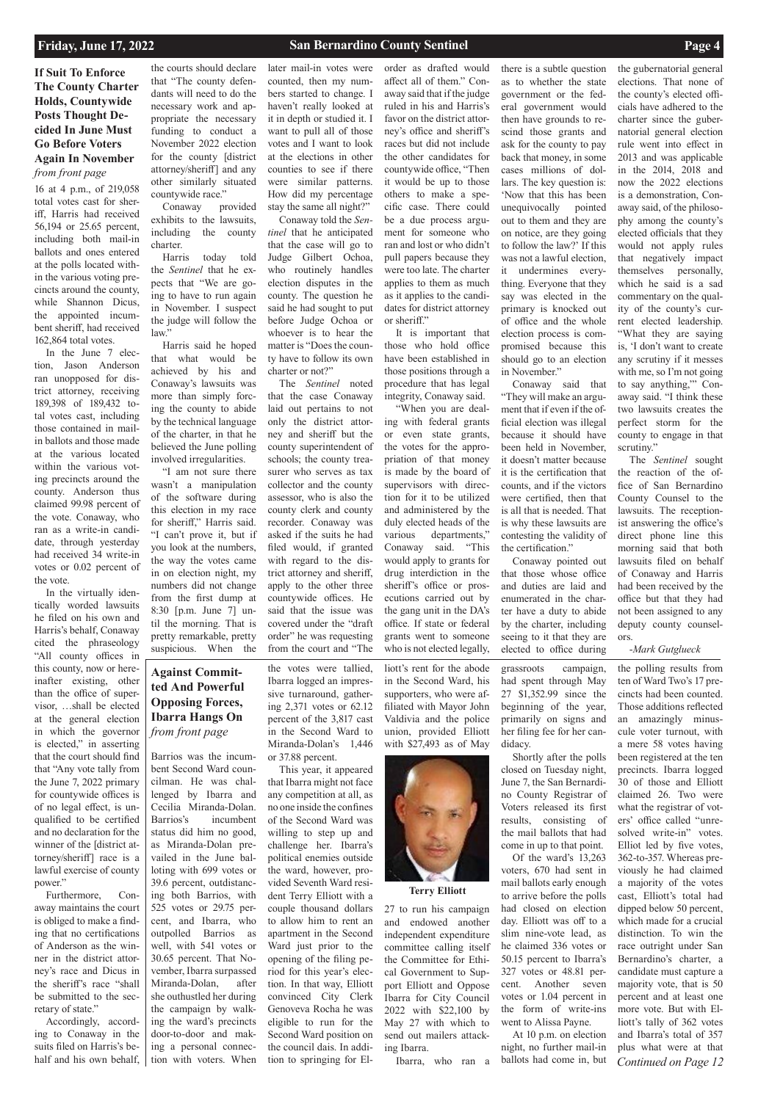# **Against Committed And Powerful Opposing Forces, Ibarra Hangs On**  *from front page*

# **If Suit To Enforce The County Charter Holds, Countywide Posts Thought Decided In June Must Go Before Voters Again In November**  *from front page*

16 at 4 p.m., of 219,058 total votes cast for sheriff, Harris had received 56,194 or 25.65 percent, including both mail-in ballots and ones entered at the polls located within the various voting precincts around the county, while Shannon Dicus, the appointed incumbent sheriff, had received 162,864 total votes.

In the June 7 election, Jason Anderson ran unopposed for district attorney, receiving 189,398 of 189,432 total votes cast, including those contained in mailin ballots and those made at the various located within the various voting precincts around the county. Anderson thus claimed 99.98 percent of the vote. Conaway, who ran as a write-in candidate, through yesterday had received 34 write-in votes or 0.02 percent of the vote.

In the virtually identically worded lawsuits he filed on his own and Harris's behalf, Conaway cited the phraseology "All county offices in this county, now or hereinafter existing, other than the office of supervisor, …shall be elected at the general election in which the governor is elected," in asserting that the court should find that "Any vote tally from the June 7, 2022 primary for countywide offices is of no legal effect, is unqualified to be certified and no declaration for the winner of the [district attorney/sheriff] race is a

lawful exercise of county power."

Furthermore, Conaway maintains the court is obliged to make a finding that no certifications of Anderson as the winner in the district attorney's race and Dicus in the sheriff's race "shall be submitted to the secretary of state."

Accordingly, according to Conaway in the suits filed on Harris's behalf and his own behalf,

the courts should declare that "The county defendants will need to do the necessary work and appropriate the necessary funding to conduct a November 2022 election for the county [district attorney/sheriff] and any other similarly situated countywide race."

Conaway provided exhibits to the lawsuits, including the county charter.

Harris today told the *Sentinel* that he expects that "We are going to have to run again in November. I suspect the judge will follow the law."

Harris said he hoped that what would be achieved by his and Conaway's lawsuits was more than simply forcing the county to abide by the technical language of the charter, in that he believed the June polling involved irregularities.

"I am not sure there wasn't a manipulation of the software during this election in my race for sheriff," Harris said. "I can't prove it, but if you look at the numbers, the way the votes came in on election night, my numbers did not change from the first dump at 8:30 [p.m. June 7] until the morning. That is pretty remarkable, pretty suspicious. When the later mail-in votes were counted, then my numbers started to change. I haven't really looked at it in depth or studied it. I want to pull all of those votes and I want to look at the elections in other counties to see if there were similar patterns. How did my percentage stay the same all night?"

the gubernatorial general elections. That none of the county's elected officials have adhered to the charter since the gubernatorial general election rule went into effect in 2013 and was applicable in the 2014, 2018 and now the 2022 elections is a demonstration, Conaway said, of the philosophy among the county's elected officials that they would not apply rules that negatively impact themselves personally, which he said is a sad commentary on the quality of the county's current elected leadership. "What they are saying is, 'I don't want to create any scrutiny if it messes with me, so I'm not going to say anything,'" Conaway said. "I think these two lawsuits creates the perfect storm for the county to engage in that scrutiny."

Conaway told the *Sentinel* that he anticipated that the case will go to Judge Gilbert Ochoa, who routinely handles election disputes in the county. The question he said he had sought to put before Judge Ochoa or whoever is to hear the matter is "Does the county have to follow its own charter or not?"

The *Sentinel* noted that the case Conaway laid out pertains to not only the district attorney and sheriff but the county superintendent of schools; the county treasurer who serves as tax collector and the county assessor, who is also the county clerk and county recorder. Conaway was asked if the suits he had filed would, if granted with regard to the district attorney and sheriff, apply to the other three countywide offices. He said that the issue was covered under the "draft order" he was requesting from the court and "The

order as drafted would affect all of them." Conaway said that if the judge ruled in his and Harris's favor on the district attorney's office and sheriff's races but did not include the other candidates for countywide office, "Then it would be up to those others to make a specific case. There could be a due process argument for someone who ran and lost or who didn't pull papers because they were too late. The charter applies to them as much as it applies to the candidates for district attorney or sheriff."

It is important that those who hold office have been established in those positions through a procedure that has legal integrity, Conaway said.

"When you are dealing with federal grants or even state grants, the votes for the appropriation of that money is made by the board of supervisors with direction for it to be utilized and administered by the duly elected heads of the various departments," Conaway said. "This would apply to grants for drug interdiction in the sheriff's office or prosecutions carried out by the gang unit in the DA's office. If state or federal grants went to someone who is not elected legally,

> *Continued on Page 12* the polling results from ten of Ward Two's 17 precincts had been counted. Those additions reflected an amazingly minuscule voter turnout, with a mere 58 votes having been registered at the ten precincts. Ibarra logged 30 of those and Elliott claimed 26. Two were what the registrar of voters' office called "unresolved write-in" votes. Elliot led by five votes, 362-to-357. Whereas previously he had claimed a majority of the votes cast, Elliott's total had dipped below 50 percent, which made for a crucial distinction. To win the race outright under San Bernardino's charter, a candidate must capture a majority vote, that is 50 percent and at least one more vote. But with Elliott's tally of 362 votes and Ibarra's total of 357 plus what were at that

there is a subtle question as to whether the state government or the federal government would then have grounds to rescind those grants and ask for the county to pay back that money, in some cases millions of dollars. The key question is: 'Now that this has been unequivocally pointed out to them and they are on notice, are they going to follow the law?' If this was not a lawful election, it undermines everything. Everyone that they say was elected in the primary is knocked out of office and the whole election process is compromised because this should go to an election

in November."

Conaway said that "They will make an argument that if even if the official election was illegal because it should have been held in November, it doesn't matter because it is the certification that counts, and if the victors were certified, then that is all that is needed. That is why these lawsuits are contesting the validity of the certification."

Conaway pointed out that those whose office and duties are laid and enumerated in the charter have a duty to abide by the charter, including seeing to it that they are elected to office during

The *Sentinel* sought the reaction of the office of San Bernardino County Counsel to the lawsuits. The receptionist answering the office's direct phone line this morning said that both lawsuits filed on behalf of Conaway and Harris had been received by the office but that they had not been assigned to any deputy county counselors.

## -*Mark Gutglueck*

Barrios was the incumbent Second Ward councilman. He was challenged by Ibarra and Cecilia Miranda-Dolan. Barrios's incumbent status did him no good, as Miranda-Dolan prevailed in the June balloting with 699 votes or 39.6 percent, outdistancing both Barrios, with 525 votes or 29.75 percent, and Ibarra, who outpolled Barrios as well, with 541 votes or 30.65 percent. That November, Ibarra surpassed Miranda-Dolan, after she outhustled her during the campaign by walking the ward's precincts door-to-door and making a personal connection with voters. When

the votes were tallied, Ibarra logged an impressive turnaround, gathering 2,371 votes or 62.12 percent of the 3,817 cast in the Second Ward to Miranda-Dolan's 1,446 or 37.88 percent.

This year, it appeared that Ibarra might not face any competition at all, as no one inside the confines of the Second Ward was willing to step up and challenge her. Ibarra's political enemies outside the ward, however, provided Seventh Ward resident Terry Elliott with a couple thousand dollars to allow him to rent an apartment in the Second Ward just prior to the opening of the filing period for this year's election. In that way, Elliott convinced City Clerk Genoveva Rocha he was eligible to run for the Second Ward position on the council dais. In addition to springing for El-

liott's rent for the abode in the Second Ward, his supporters, who were affiliated with Mayor John Valdivia and the police union, provided Elliott



with \$27,493 as of May

grassroots campaign, had spent through May 27 \$1,352.99 since the beginning of the year, primarily on signs and her filing fee for her candidacy.

Shortly after the polls closed on Tuesday night, June 7, the San Bernardino County Registrar of Voters released its first results, consisting of the mail ballots that had come in up to that point.

Of the ward's 13,263

voters, 670 had sent in mail ballots early enough to arrive before the polls had closed on election day. Elliott was off to a slim nine-vote lead, as he claimed 336 votes or 50.15 percent to Ibarra's 327 votes or 48.81 percent. Another seven votes or 1.04 percent in the form of write-ins went to Alissa Payne. At 10 p.m. on election night, no further mail-in ballots had come in, but

**Terry Elliott**

27 to run his campaign and endowed another independent expenditure committee calling itself the Committee for Ethical Government to Support Elliott and Oppose Ibarra for City Council 2022 with \$22,100 by May 27 with which to send out mailers attacking Ibarra.

Ibarra, who ran a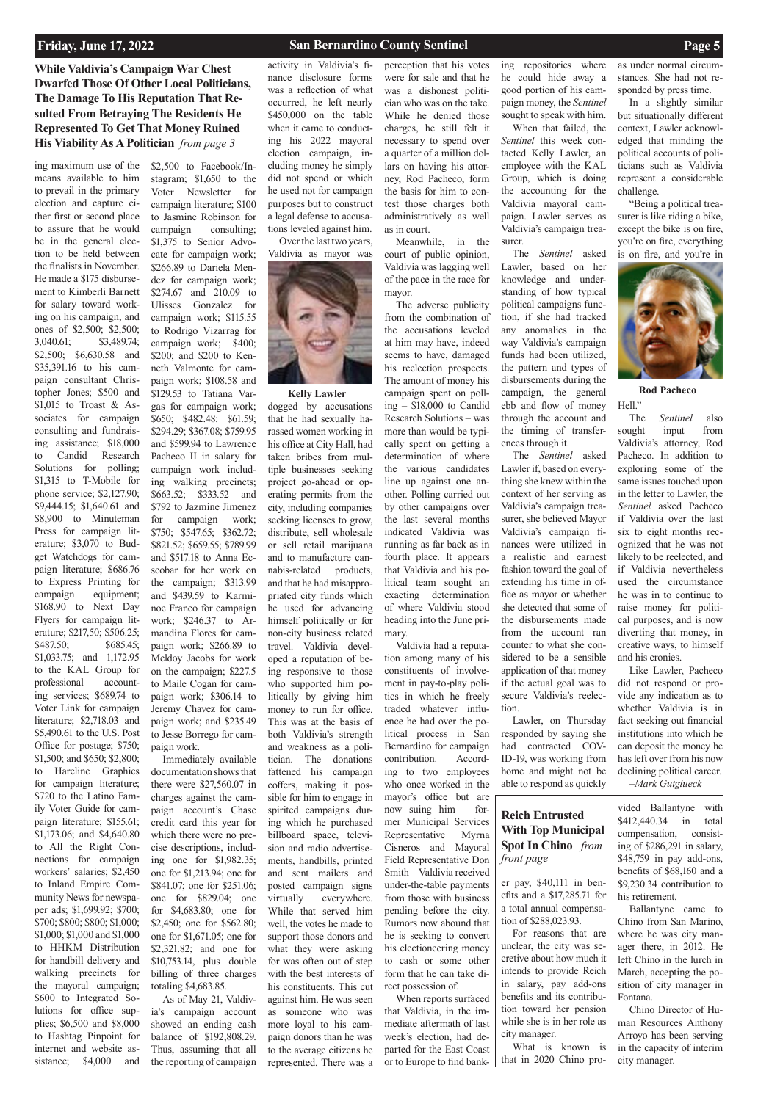# **While Valdivia's Campaign War Chest Dwarfed Those Of Other Local Politicians, The Damage To His Reputation That Resulted From Betraying The Residents He Represented To Get That Money Ruined His Viability As A Politician** *from page 3*

that in 2020 Chino pro-

vided Ballantyne with \$412,440.34 in total compensation, consisting of \$286,291 in salary,

\$48,759 in pay add-ons, benefits of \$68,160 and a \$9,230.34 contribution to his retirement.

Ballantyne came to Chino from San Marino, where he was city manager there, in 2012. He left Chino in the lurch in March, accepting the position of city manager in Fontana.

Chino Director of Human Resources Anthony Arroyo has been serving in the capacity of interim city manager.

ing maximum use of the means available to him to prevail in the primary election and capture either first or second place to assure that he would be in the general election to be held between the finalists in November. He made a \$175 disbursement to Kimberli Barnett for salary toward working on his campaign, and ones of \$2,500; \$2,500; 3,040.61; \$3,489.74; \$2,500; \$6,630.58 and \$35,391.16 to his campaign consultant Christopher Jones; \$500 and \$1,015 to Troast & Associates for campaign consulting and fundraising assistance; \$18,000 to Candid Research Solutions for polling; \$1,315 to T-Mobile for phone service; \$2,127.90; \$9,444.15; \$1,640.61 and \$8,900 to Minuteman Press for campaign literature; \$3,070 to Budget Watchdogs for campaign literature; \$686.76 to Express Printing for campaign equipment; \$168.90 to Next Day Flyers for campaign literature; \$217,50; \$506.25; \$487.50; \$685.45; \$1,033.75; and 1,172.95 to the KAL Group for professional accounting services; \$689.74 to Voter Link for campaign literature; \$2,718.03 and \$5,490.61 to the U.S. Post Office for postage; \$750; \$1,500; and \$650; \$2,800; to Hareline Graphics for campaign literature; \$720 to the Latino Family Voter Guide for campaign literature; \$155.61; \$1,173.06; and \$4,640.80 to All the Right Connections for campaign workers' salaries; \$2,450 to Inland Empire Community News for newspaper ads; \$1,699.92; \$700; \$700; \$800; \$800; \$1,000; \$1,000; \$1,000 and \$1,000 to HHKM Distribution for handbill delivery and walking precincts for the mayoral campaign; \$600 to Integrated Solutions for office supplies; \$6,500 and \$8,000 to Hashtag Pinpoint for internet and website assistance; \$4,000 and

\$2,500 to Facebook/Instagram; \$1,650 to the Voter Newsletter for campaign literature; \$100 to Jasmine Robinson for campaign consulting; \$1,375 to Senior Advocate for campaign work; \$266.89 to Dariela Mendez for campaign work; \$274.67 and 210.09 to Ulisses Gonzalez for campaign work; \$115.55 to Rodrigo Vizarrag for campaign work; \$400; \$200; and \$200 to Kenneth Valmonte for campaign work; \$108.58 and \$129.53 to Tatiana Vargas for campaign work; \$650; \$482.48: \$61.59; \$294.29; \$367.08; \$759.95 and \$599.94 to Lawrence Pacheco II in salary for campaign work including walking precincts; \$663.52; \$333.52 and \$792 to Jazmine Jimenez for campaign work; \$750; \$547.65; \$362.72; \$821.52; \$659.55; \$789.99 and \$517.18 to Anna Ecscobar for her work on the campaign; \$313.99 and \$439.59 to Karminoe Franco for campaign work; \$246.37 to Armandina Flores for campaign work; \$266.89 to Meldoy Jacobs for work on the campaign; \$227.5 to Maile Cogan for campaign work; \$306.14 to Jeremy Chavez for campaign work; and \$235.49 to Jesse Borrego for campaign work. Immediately available

documentation shows that there were \$27,560.07 in charges against the campaign account's Chase credit card this year for which there were no precise descriptions, including one for \$1,982.35; one for \$1,213.94; one for \$841.07; one for \$251.06; one for \$829.04; one for \$4,683.80; one for \$2,450; one for \$562.80; one for \$1,671.05; one for \$2,321.82; and one for \$10,753.14, plus double billing of three charges totaling \$4,683.85. As of May 21, Valdivia's campaign account showed an ending cash balance of \$192,808.29. Thus, assuming that all the reporting of campaign

er pay, \$40,111 in benefits and a \$17,285.71 for a total annual compensation of \$288,023.93. For reasons that are unclear, the city was secretive about how much it intends to provide Reich in salary, pay add-ons benefits and its contribution toward her pension while she is in her role as city manager. What is known is *front page*

activity in Valdivia's finance disclosure forms was a reflection of what occurred, he left nearly \$450,000 on the table when it came to conducting his 2022 mayoral election campaign, including money he simply did not spend or which he used not for campaign purposes but to construct a legal defense to accusations leveled against him. Over the last two years,

Valdivia as mayor was



**Rod Pacheco** Hell."

perception that his votes were for sale and that he was a dishonest politician who was on the take. While he denied those charges, he still felt it necessary to spend over a quarter of a million dollars on having his attorney, Rod Pacheco, form the basis for him to contest those charges both administratively as well as in court.

Meanwhile, in the court of public opinion, Valdivia was lagging well of the pace in the race for mayor.

The adverse publicity from the combination of the accusations leveled at him may have, indeed seems to have, damaged his reelection prospects. The amount of money his campaign spent on polling – \$18,000 to Candid Research Solutions – was more than would be typically spent on getting a determination of where the various candidates line up against one another. Polling carried out by other campaigns over the last several months indicated Valdivia was running as far back as in fourth place. It appears that Valdivia and his political team sought an exacting determination of where Valdivia stood heading into the June primary.

Valdivia had a reputation among many of his constituents of involvement in pay-to-play politics in which he freely traded whatever influence he had over the political process in San Bernardino for campaign contribution. According to two employees who once worked in the mayor's office but are now suing him – former Municipal Services Representative Myrna Cisneros and Mayoral Field Representative Don Smith – Valdivia received under-the-table payments from those with business pending before the city. Rumors now abound that he is seeking to convert his electioneering money to cash or some other form that he can take direct possession of. When reports surfaced that Valdivia, in the immediate aftermath of last week's election, had departed for the East Coast or to Europe to find banking repositories where he could hide away a good portion of his campaign money, the *Sentinel* sought to speak with him.

When that failed, the *Sentinel* this week contacted Kelly Lawler, an employee with the KAL Group, which is doing the accounting for the Valdivia mayoral campaign. Lawler serves as Valdivia's campaign treasurer.

The *Sentinel* asked Lawler, based on her knowledge and understanding of how typical political campaigns function, if she had tracked any anomalies in the way Valdivia's campaign funds had been utilized, the pattern and types of disbursements during the campaign, the general ebb and flow of money through the account and the timing of transferences through it.

The *Sentinel* asked Lawler if, based on everything she knew within the context of her serving as Valdivia's campaign treasurer, she believed Mayor Valdivia's campaign finances were utilized in a realistic and earnest fashion toward the goal of extending his time in office as mayor or whether she detected that some of the disbursements made from the account ran counter to what she considered to be a sensible application of that money if the actual goal was to secure Valdivia's reelection.

Lawler, on Thursday responded by saying she had contracted COV-ID-19, was working from home and might not be able to respond as quickly

as under normal circumstances. She had not responded by press time.

In a slightly similar but situationally different context, Lawler acknowledged that minding the political accounts of politicians such as Valdivia represent a considerable challenge.

"Being a political treasurer is like riding a bike, except the bike is on fire, you're on fire, everything is on fire, and you're in



# **Reich Entrusted With Top Municipal Spot In Chino** *from*

dogged by accusations that he had sexually harassed women working in his office at City Hall, had taken bribes from multiple businesses seeking project go-ahead or operating permits from the city, including companies seeking licenses to grow, distribute, sell wholesale or sell retail marijuana and to manufacture cannabis-related products, and that he had misappropriated city funds which he used for advancing himself politically or for non-city business related travel. Valdivia developed a reputation of being responsive to those who supported him politically by giving him money to run for office. This was at the basis of both Valdivia's strength and weakness as a politician. The donations fattened his campaign coffers, making it possible for him to engage in spirited campaigns during which he purchased billboard space, television and radio advertisements, handbills, printed and sent mailers and posted campaign signs virtually everywhere. While that served him well, the votes he made to support those donors and what they were asking for was often out of step with the best interests of his constituents. This cut against him. He was seen as someone who was more loyal to his campaign donors than he was to the average citizens he represented. There was a

The *Sentinel* also sought input from Valdivia's attorney, Rod Pacheco. In addition to exploring some of the same issues touched upon in the letter to Lawler, the *Sentinel* asked Pacheco if Valdivia over the last six to eight months recognized that he was not likely to be reelected, and if Valdivia nevertheless used the circumstance he was in to continue to raise money for political purposes, and is now diverting that money, in creative ways, to himself and his cronies.

Like Lawler, Pacheco did not respond or provide any indication as to whether Valdivia is in fact seeking out financial institutions into which he can deposit the money he has left over from his now declining political career. –*Mark Gutglueck*

## **Kelly Lawler**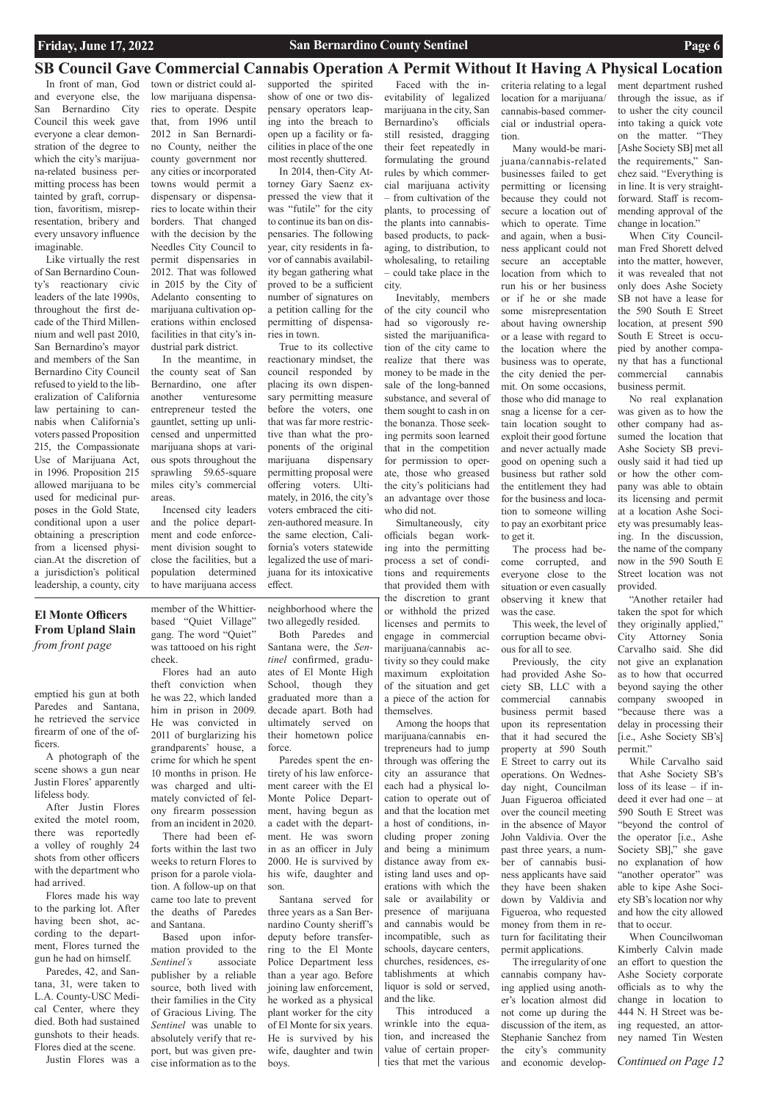# **El Monte Officers From Upland Slain**  *from front page*

*Continued on Page 12*

emptied his gun at both Paredes and Santana, he retrieved the service firearm of one of the officers.

A photograph of the scene shows a gun near Justin Flores' apparently lifeless body.

After Justin Flores exited the motel room, there was reportedly a volley of roughly 24 shots from other officers

with the department who had arrived.

Flores made his way to the parking lot. After having been shot, according to the department, Flores turned the gun he had on himself.

Paredes, 42, and Santana, 31, were taken to L.A. County-USC Medical Center, where they died. Both had sustained gunshots to their heads. Flores died at the scene. Justin Flores was a

member of the Whittierbased "Quiet Village" gang. The word "Quiet" was tattooed on his right cheek.

Flores had an auto theft conviction when he was 22, which landed him in prison in 2009. He was convicted in 2011 of burglarizing his grandparents' house, a crime for which he spent 10 months in prison. He was charged and ultimately convicted of felony firearm possession from an incident in 2020.

There had been efforts within the last two weeks to return Flores to prison for a parole violation. A follow-up on that came too late to prevent the deaths of Paredes and Santana. Based upon information provided to the *Sentinel's* associate publisher by a reliable source, both lived with their families in the City of Gracious Living. The *Sentinel* was unable to absolutely verify that report, but was given precise information as to the

neighborhood where the two allegedly resided.

Both Paredes and Santana were, the *Sentinel* confirmed, graduates of El Monte High School, though they graduated more than a decade apart. Both had ultimately served on their hometown police force.

Paredes spent the entirety of his law enforcement career with the El Monte Police Department, having begun as a cadet with the department. He was sworn in as an officer in July 2000. He is survived by his wife, daughter and son. Santana served for three years as a San Bernardino County sheriff's deputy before transferring to the El Monte Police Department less than a year ago. Before joining law enforcement, he worked as a physical plant worker for the city of El Monte for six years. He is survived by his wife, daughter and twin boys.

In front of man, God and everyone else, the San Bernardino City Council this week gave everyone a clear demonstration of the degree to which the city's marijuana-related business permitting process has been tainted by graft, corruption, favoritism, misrepresentation, bribery and every unsavory influence imaginable.

Like virtually the rest of San Bernardino County's reactionary civic leaders of the late 1990s, throughout the first decade of the Third Millennium and well past 2010, San Bernardino's mayor and members of the San Bernardino City Council refused to yield to the liberalization of California law pertaining to cannabis when California's voters passed Proposition 215, the Compassionate Use of Marijuana Act, in 1996. Proposition 215 allowed marijuana to be used for medicinal purposes in the Gold State, conditional upon a user obtaining a prescription from a licensed physician.At the discretion of a jurisdiction's political leadership, a county, city

Faced with the inevitability of legalized marijuana in the city, San Bernardino's officials still resisted, dragging their feet repeatedly in formulating the ground rules by which commercial marijuana activity – from cultivation of the plants, to processing of the plants into cannabisbased products, to packaging, to distribution, to wholesaling, to retailing – could take place in the

city.

Inevitably, members of the city council who had so vigorously resisted the marijuanification of the city came to realize that there was money to be made in the sale of the long-banned substance, and several of them sought to cash in on the bonanza. Those seeking permits soon learned that in the competition for permission to operate, those who greased the city's politicians had an advantage over those who did not.

Simultaneously, city officials began working into the permitting process a set of conditions and requirements that provided them with the discretion to grant or withhold the prized licenses and permits to engage in commercial marijuana/cannabis activity so they could make maximum exploitation of the situation and get a piece of the action for themselves.

Among the hoops that marijuana/cannabis entrepreneurs had to jump through was offering the city an assurance that each had a physical location to operate out of and that the location met a host of conditions, including proper zoning and being a minimum distance away from existing land uses and operations with which the sale or availability or presence of marijuana and cannabis would be incompatible, such as schools, daycare centers, churches, residences, establishments at which liquor is sold or served, and the like. This introduced a wrinkle into the equation, and increased the value of certain properties that met the various

# **SB Council Gave Commercial Cannabis Operation A Permit Without It Having A Physical Location**

town or district could allow marijuana dispensaries to operate. Despite that, from 1996 until 2012 in San Bernardino County, neither the county government nor any cities or incorporated towns would permit a dispensary or dispensaries to locate within their borders. That changed with the decision by the Needles City Council to permit dispensaries in 2012. That was followed in 2015 by the City of Adelanto consenting to marijuana cultivation operations within enclosed facilities in that city's industrial park district.

In the meantime, in the county seat of San Bernardino, one after another venturesome entrepreneur tested the gauntlet, setting up unlicensed and unpermitted marijuana shops at various spots throughout the sprawling 59.65-square miles city's commercial areas.

Incensed city leaders and the police department and code enforcement division sought to close the facilities, but a population determined to have marijuana access

supported the spirited show of one or two dispensary operators leaping into the breach to open up a facility or facilities in place of the one most recently shuttered.

In 2014, then-City Attorney Gary Saenz expressed the view that it was "futile" for the city to continue its ban on dispensaries. The following year, city residents in favor of cannabis availability began gathering what proved to be a sufficient number of signatures on a petition calling for the permitting of dispensaries in town.

True to its collective reactionary mindset, the council responded by placing its own dispensary permitting measure before the voters, one that was far more restrictive than what the proponents of the original marijuana dispensary permitting proposal were offering voters. Ultimately, in 2016, the city's voters embraced the citizen-authored measure. In the same election, California's voters statewide legalized the use of marijuana for its intoxicative effect.

criteria relating to a legal location for a marijuana/ cannabis-based commercial or industrial operation.

Many would-be marijuana/cannabis-related businesses failed to get permitting or licensing because they could not secure a location out of which to operate. Time and again, when a business applicant could not secure an acceptable location from which to run his or her business or if he or she made some misrepresentation about having ownership or a lease with regard to the location where the business was to operate, the city denied the permit. On some occasions, those who did manage to snag a license for a certain location sought to exploit their good fortune and never actually made good on opening such a business but rather sold the entitlement they had for the business and location to someone willing to pay an exorbitant price to get it.

The process had become corrupted, and everyone close to the situation or even casually observing it knew that was the case.

This week, the level of corruption became obvious for all to see.

Previously, the city had provided Ashe Society SB, LLC with a commercial cannabis business permit based upon its representation that it had secured the property at 590 South E Street to carry out its operations. On Wednesday night, Councilman Juan Figueroa officiated over the council meeting in the absence of Mayor John Valdivia. Over the past three years, a number of cannabis business applicants have said they have been shaken down by Valdivia and Figueroa, who requested money from them in return for facilitating their permit applications. The irregularity of one cannabis company having applied using another's location almost did not come up during the discussion of the item, as Stephanie Sanchez from the city's community

and economic develop-

ment department rushed through the issue, as if to usher the city council into taking a quick vote on the matter. "They [Ashe Society SB] met all the requirements," Sanchez said. "Everything is in line. It is very straightforward. Staff is recommending approval of the change in location."

When City Councilman Fred Shorett delved into the matter, however, it was revealed that not only does Ashe Society SB not have a lease for the 590 South E Street location, at present 590 South E Street is occupied by another company that has a functional commercial cannabis business permit.

No real explanation was given as to how the other company had assumed the location that Ashe Society SB previously said it had tied up or how the other company was able to obtain its licensing and permit at a location Ashe Society was presumably leasing. In the discussion, the name of the company now in the 590 South E Street location was not provided.

"Another retailer had taken the spot for which they originally applied," City Attorney Sonia Carvalho said. She did not give an explanation as to how that occurred beyond saying the other company swooped in "because there was a delay in processing their [i.e., Ashe Society SB's] permit."

While Carvalho said that Ashe Society SB's loss of its lease – if indeed it ever had one – at 590 South E Street was "beyond the control of the operator [i.e., Ashe Society SB]," she gave no explanation of how "another operator" was able to kipe Ashe Society SB's location nor why and how the city allowed that to occur. When Councilwoman Kimberly Calvin made an effort to question the Ashe Society corporate officials as to why the change in location to 444 N. H Street was being requested, an attorney named Tin Westen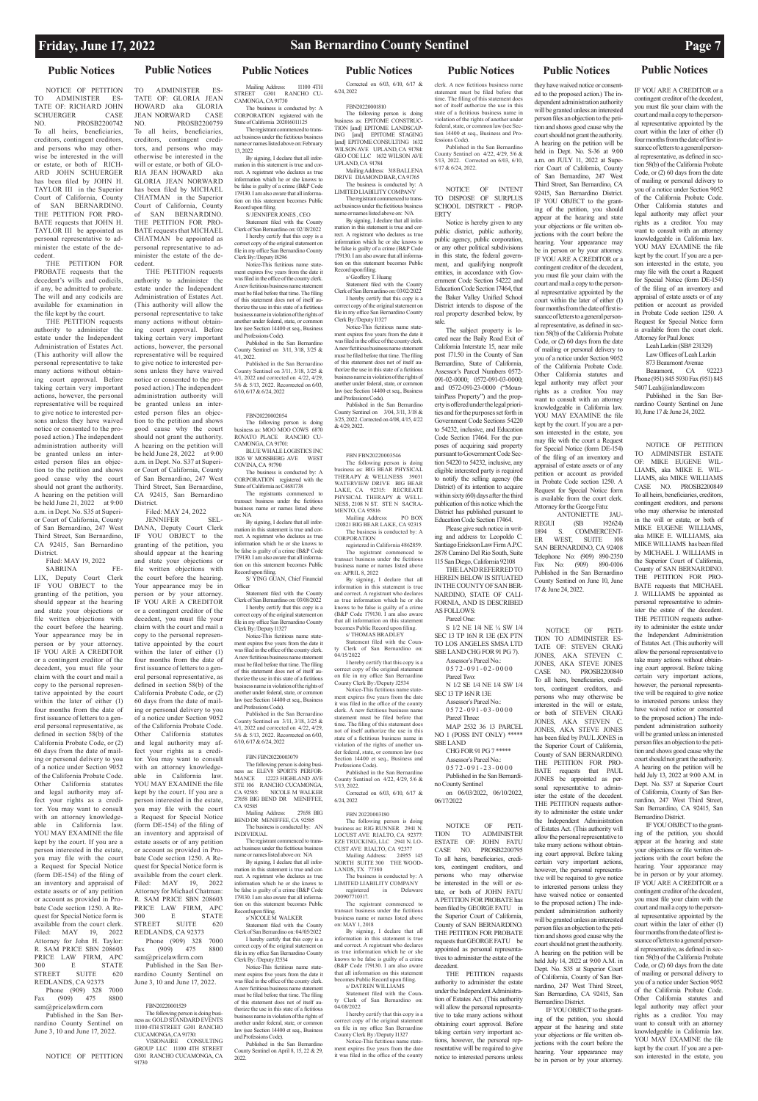**Public Notices Public Notices Public Notices Public Notices Public Notices Public Notices Public Notices**

NOTICE OF PETITION TO ADMINISTER ES-TATE OF: RICHARD JOHN<br>SCHUERGER CASE SCHUERGER<br>NO. I PROSB2200742 To all heirs, beneficiaries, creditors, contingent creditors, and persons who may otherwise be interested in the will or estate, or both of RICH-ARD JOHN SCHUERGER has been filed by JOHN H. TAYLOR III in the Superior Court of California, County of SAN BERNARDINO. THE PETITION FOR PRO-BATE requests that JOHN H. TAYLOR III be appointed as personal representative to administer the estate of the decedent. THE PETITION FOR

PROBATE requests that the decedent's wills and codicils, if any, be admitted to probate. The will and any codicils are available for examination in the file kept by the court.

THE PETITION requests authority to administer the estate under the Independent Administration of Estates Act. (This authority will allow the personal representative to take many actions without obtaining court approval. Before taking certain very important actions, however, the personal representative will be required to give notice to interested persons unless they have waived notice or consented to the proposed action.) The independent administration authority will be granted unless an interested person files an objection to the petition and shows good cause why the court should not grant the authority. A hearing on the petition will be held June 21, 2022 at 9:00 a.m. in Dept. No. S35 at Superior Court of California, County of San Bernardino, 247 West Third Street, San Bernardino, CA 92415, San Bernardino **District** 

SABRINA FE-LIX, Deputy Court Clerk IF YOU OBJECT to the granting of the petition, you should appear at the hearing and state your objections or file written objections with the court before the hearing. Your appearance may be in person or by your attorney. IF YOU ARE A CREDITOR or a contingent creditor of the decedent, you must file your claim with the court and mail a copy to the personal representative appointed by the court within the later of either (1) four months from the date of first issuance of letters to a general personal representative, as defined in section 58(b) of the California Probate Code, or (2) 60 days from the date of mailing or personal delivery to you of a notice under Section 9052 of the California Probate Code. Other California statutes and legal authority may affect your rights as a creditor. You may want to consult with an attorney knowledgeable in California law. YOU MAY EXAMINE the file kept by the court. If you are a person interested in the estate, you may file with the court a Request for Special Notice (form DE-154) of the filing of an inventory and appraisal of estate assets or of any petition or account as provided in Probate Code section 1250. A Request for Special Notice form is available from the court clerk. Filed: MAY 19, 2022 Attorney for John H. Taylor: R. SAM PRICE SBN 208603 PRICE LAW FIRM, APC 300 E STATE 300 E STATE STREET SUITE 620 REDLANDS, CA 92373 Phone (909) 328 7000<br>(909) 475 8800 Fax  $(909)$  475 sam@pricelawfirm.com Published in the San Bernardino County Sentinel on June 3, 10 and June 17, 2022.

PROSB2200759

TO ADMINISTER ES-TATE OF: GLORIA JEAN HOWARD aka GLORIA JEAN NORWARD<br>NO. PROS

Filed: MAY 19, 2022

THE PETITION requests authority to administer the estate under the Independent Administration of Estates Act. (This authority will allow the personal representative to take many actions without obtaining court approval. Before taking certain very important actions, however, the personal representative will be required to give notice to interested ner-

**JENNIFER** DANA, Deputy Court Clerk IF YOU OBJECT to the granting of the petition, you should appear at the hearing and state your objections or file written objections with the court before the hearing. Your appearance may be in person or by your attorney. IF YOU ARE A CREDITOR or a contingent creditor of the decedent, you must file your claim with the court and mail a copy to the personal representative appointed by the court within the later of either (1) four months from the date of first issuance of letters to a general personal representative, as defined in section 58(b) of the California Probate Code, or (2) 60 days from the date of mailing or personal delivery to you of a notice under Section 9052 of the California Probate Code. Other California statutes and legal authority may affect your rights as a creditor. You may want to consult with an attorney knowledgeable in California law. YOU MAY EXAMINE the file kept by the court. If you are a person interested in the estate, you may file with the court a Request for Special Notice (form DE-154) of the filing of an inventory and appraisal of estate assets or of any petition or account as provided in Pro-

### NOTICE OF PETITION

Mailing Address: 11100 4TH STREET G301 RANCHO CU-CAMONGA, CA 91730 The business is conducted by: A CORPORATION registered with the State of California 202016011125

To all heirs, beneficiaries, creditors, contingent creditors, and persons who may otherwise be interested in the will or estate, or both of GLO-RIA JEAN HOWARD aka GLORIA JEAN NORWARD has been filed by MICHAEL CHATMAN in the Superior Court of California, County of SAN BERNARDINO. THE PETITION FOR PRO-BATE requests that MICHAEL CHATMAN be appointed as personal representative to administer the estate of the de-

cedent.

law (see Section 14400 et seq., Business and Professions Code). Published in the San Bernardino County Sentinel on 3/11, 3/18, 3/25 & 4/1, 2022. Published in the San Berna

The following person is doing business as: MOO MOO COWS 6870 ROVATO PLACE RANCHO CU-CAMONGA, CA 91701: BLUE WHALE LOGISTICS INC

notice or consented to the pro-

YING GUAN, Chief Financial **Officer** Statement filed with the County Clerk of San Bernardino on: 03/08/2022 I hereby certify that this copy is a

be granted unless an interested person files an objection to the petition and shows good cause why the court should not grant the authority. A hearing on the petition will be held June 28, 2022 at 9:00 a.m. in Dept. No. S37 at Superior Court of California, County

District.

BEND DR MENIFFEE, CA 92585 The business is conducted by: AN INDIVIDUAL

TION [and] EPITOME LANDSCAP-<br>ING [and] EPITOME STAGING [and] EPITOME STAGING [and] EPITOME CONSULTING 1632 WILSON AVE UPLAND, CA 91784: GEO COE LLC 1632 WILSON AVE UPLAND, CA 91784 Mailing Address: 318 BALLENA

> Statement filed with the County Clerk of San Bernardino on: 03/02/2022

bate Code section 1250. A Request for Special Notice form is available from the court clerk. Filed: MAY 19, 2022 Attorney for Michael Chatman: R. SAM PRICE SBN 208603 PRICE LAW FIRM, APC 300 E STATE STREET SUITE 620 REDLANDS, CA 92373 Phone (909) 328 7000<br>x (909) 475 8800 Fax  $(909)$ sam@pricelawfirm.com Published in the San Bernardino County Sentinel on June 3, 10 and June 17, 2022.

### EDN20220001520

sons unless they have waived posed action.) The independent administration authority will County Sentinel on 3/11, 3/18, 3/25 & 4/1, 2022 and corrected on 4/22, 4/29, 5/6 & 5/13, 2022. Recorrected on 6/03, 6/10, 6/17 & 6/24, 2022

Published in the San Bernardino County Sentinel on 3/04, 3/11, 3/18 & 3/25, 2022. Corrected on 4/08, 4/15, 4/22  $& 4/29.2022$ 

The following person is doing business as: GOLD STANDARD EVENTS 11100 4TH STREET G301 RANCHO CUCAMONGA, CA 91730: VISIONAIRE CONSULTING

120821 BIG BEAR LAKE, CA 92315 The business is conducted by: A CORPORATION

91730

of San Bernardino, 247 West Third Street, San Bernardino, CA 92415, San Bernardino Filed: MAY 24, 2022<br>JENNIFER SEL-State of California as C4681738 The registrants commenced to transact business under the fictitious business name or names listed above on: N/A

> By signing, I declare that all information in this statement is true and correct. A registrant who declares as true information which he or she by sto be false is guilty of a crime (B&P Code 179130. I am also aware that all information on this statement becomes Public Record upon filing.

s/ THOMAS BRADLEY Statement filed with the Coun-Clerk of San Bernardino on:

 $04/15/2022$ I hereby certify that this copy is a correct copy of the original statement on file in my office San Bernardino

The registrant commenced to transact business under the fictitious business name or names listed above on: February 13, 2022 By signing, I declare that all information in this statement is true and correct. A registrant who declares as true information which he or she knows to be false is guilty of a crime (B&P Code 179130. I am also aware that all informa-

> clerk. A new fictitious business nam statement must be filed before that time. The filing of this statement does not of itself authorize the use in this state of a fictitious business name in violation of the rights of another under federal, state, or common law (see Section 14400 et seq., Business and Professions Code).

FBN 20220003180 The following person is doing business as: RIG RUNNER 2941 N. LOCUST AVE RIALTO, CA 92377: EZE TRUCKING, LLC 2941 N. LO-CUST AVE RIALTO, CA 92377<br>Mailing Address: 24955 145

tion on this statement becomes Public Record upon filing. S/ JENNIFER JONES , CEO Statement filed with the County Clerk of San Bernardino on: 02/18/2022 I hereby certify that this copy is a correct copy of the original statem file in my office San Bernardino County

Clerk By:/Deputy I8296 Notice-This fictitious name statement expires five years from the date it was filed in the office of the county clerk. A new fictitious business name statement must be filed before that time. The filing of this statement does not of itself authorize the use in this state of a fictitious business name in violation of the rights of another under federal, state, or common

> Notice-This fictitious name statement expires five years from the date It was filed in the office of the county

Published in the San Bernardino County Sentinel on 4/22, 4/29, 5/6 & 5/13, 2022. Corrected on 6/03, 6/10, 6/17 & 6/24, 2022.

## FBN20220002054

1826 W MOSSBERG AVE WEST COVINA, CA 91790 The business is conducted by: A CORPORATION registered with the

By signing, I declare that all information in this statement is true and correct. A registrant who declares as true information which he or she knows to be false is guilty of a crime (B&P Code 179130. I am also aware that all information on this statement becomes Public Record upon filing.

GROUP LLC 11100 4TH STREET G301 RANCHO CUCAMONGA, CA 2022.  $0.572 - 0.91 - 0.2 - 0.000$ Parcel Two:

 $0.572 - 0.91 - 2.3 - 0.000$ Published in the San Bernardi-

correct copy of the original statement on file in my office San Bernardino County Clerk By:/Deputy I1327 Notice-This fictitious name state-

> NOTICE OF PETI-TION TO ADMINISTER ADMINISTER ESTATE OF: JOHN FATU CASE NO. PROSB2200795 To all heirs, beneficiaries, credi-

ment expires five years from the date it was filed in the office of the county clerk. A new fictitious business name statement must be filed before that time. The filing of this statement does not of itself authorize the use in this state of a fictitious business name in violation of the rights of another under federal, state, or common law (see Section 14400 et seq., Business

and Professions Code). Published in the San Bernardin County Sentinel on 3/11, 3/18, 3/25 & 4/1, 2022 and corrected on 4/22, 4/29, 5/6 & 5/13, 2022. Recorrected on 6/03, 6/10, 6/17 & 6/24, 2022

FBN FBN20220003079

The following person is doing busi-ness as: ELEV8 SPORTS PERFOR-MANCE 12223 HIGHLAND AVE STE 106 RANCHO CUCAMONGA,<br>CA 92585: NICOLE M WALKER NICOLE M WALKER 27658 BIG BEND DR MENIFFEE, CA 92585 Mailing Address: 27658 BIG

The registrant commenced to transact business under the fictitious business name or names listed above on: N/A By signing, I declare that all information in this statement is true and correct. A registrant who declares as true information which he or she knows to be false is guilty of a crime (B&P Code 179130. I am also aware that all information on this statement becomes Public Record upon filing. s/ NICOLE M WALKER Statement filed with the County Clerk of San Bernardino on: 04//05/2022 I hereby certify that this copy is a correct copy of the original statement on file in my office San Bernardino County Clerk By: /Deputy J2534 Notice-This fictitious name statement expires five years from the date it was filed in the office of the county clerk. A new fictitious business name statement must be filed before that time. The filing of this statement does not of itself authorize the use in this state of a fictitious business name in violation of the rights of another under federal, state, or common law (see Section 14400 et seq., Business and Professions Code). Published in the San Bernardino County Sentinel on April 8, 15, 22 & 29,

Corrected on 6/03, 6/10, 6/17 & 6/24, 2022

FBN20220001810 The following person is doing business as: EPITOME CONSTRUC-

> DRIVE DIAMOND BAR, CA 91765 The business is conducted by: A LIMITED LIABILITY COMPANY The registrant commenced to trans-

act business under the fictitious business name or names listed above on: N/A By signing, I declare that all infor-

mation in this statement is true and correct. A registrant who declares as true information which he or she knows to be false is guilty of a crime (B&P Code 179130. I am also aware that all information on this statement becomes Public Record upon filing. s/ Geoffery T. Huang

I hereby certify that this copy is a correct copy of the original statement on file in my office San Bernardino County Clerk By:/Deputy I1327

Notice-This fictitious name statement expires five years from the date it was filed in the office of the county clerk. A new fictitious business name statement must be filed before that time. The filing of this statement does not of itself authorize the use in this state of a fictitious business name in violation of the rights of another under federal, state, or commonly law (see Section 14400 et seq., Business and Professions Code).

> to the proposed action.) The independent administration authority will be granted unless an interested person files an objection to the petition and shows good cause why the court should not grant the authority. A hearing on the petition will be held July 13, 2022 at 9:00 A.M. in Dept. No. S37 at Superior Court of California, County of San Bernardino, 247 West Third Street, San Bernardino, CA 92415, San Bernardino District. IF YOU OBJECT to the granting of the petition, you should appear at the hearing and state your objections or file written objections with the court before the hearing. Your appearance may be in person or by your attorney IF YOU ARE A CREDITOR or a contingent creditor of the decedent you must file your claim with the court and mail a copy to the personal representative appointed by the court within the later of either (1) four months from the date of first issuance of letters to a general personal representative, as defined in section 58(b) of the California Probate Code, or (2) 60 days from the date of mailing or personal delivery to you of a notice under Section 9052 of the California Probate Code. Other California statutes and legal authority may affect your rights as a creditor. You may want to consult with an attorney knowledgeable in California law. YOU MAY EXAMINE the file kept by the court. If you are a person interested in the estate, you

FBN FBN20220003546

The following person is doing business as: BIG BEAR PHYSICAL THERAPY & WELLNESS 39031 WATERVIEW DRIVE BIG BEAR LAKE, CA 92315: RECREATE PHYSICAL THERAPY & WELL-NESS, 2108 N ST. STE N SACRA-MENTO, CA 95816 Mailing Address: PO BOX

registered in California 4862859. The registrant commenced to transact business under the fictitious business name or names listed above on: APRIL 8, 2022

County Clerk By:/Deputy J2534 Notice-This fictitious name statement expires five years from the date it was filed in the office of the county

Published in the San Bernardino County Sentinel on 4/22, 4/29, 5/6 & 5/13, 2022.

Corrected on 6/03, 6/10, 6/17 & 6/24, 2022

Mailing Address: 24955 145 NORTH SUITE 300 THE WOOD-LANDS, TX 77380

The business is conducted by: A LIMITED LIABILITY COMPANY registered in Delaware 200907710317.

The registrant commenced to transact business under the fictitious business name or names listed above on: MAY 1, 2018

By signing, I declare that all information in this statement is true and correct. A registrant who declares as true information which he or she knows to be false is guilty of a crime (B&P Code 179130. I am also aware that all information on this statement becomes Public Record upon filing.

s/ DATREN WILLIAMS Statement filed with the County Clerk of San Bernardino on: 04/08/2022

I hereby certify that this copy is a correct copy of the original statement on file in my office San Bernardino County Clerk By:/Deputy I1327

### clerk. A new fictitious business name statement must be filed before that time. The filing of this statement does not of itself authorize the use in this state of a fictitious business name in violation of the rights of another under federal, state, or common law (see Section 14400 et seq., Business and Professions Code).

### NOTICE OF INTENT TO DISPOSE OF SURPLUS SCHOOL DISTRICT - PROP-ERTY

Notice is hereby given to any public district, public authority, public agency, public corporation, or any other political subdivisions in this state, the federal government, and qualifying nonprofit entities, in accordance with Government Code Section 54222 and Education Code Section 17464, that the Baker Valley Unified School District intends to dispose of the real property described below, by sale.

The subject property is located near the Baily Road Exit of California Interstate 15, near mile post 171.50 in the County of San Bernardino, State of California, Assessor's Parcel Numbers 0572- 091-02-0000; 0572-091-03-0000; and 0572-091-23-0000 ("MountainPass Property") and the property is offered under the legal priorities and for the purposes set forth in Government Code Sections 54220 to 54232, inclusive, and Education Code Section 17464. For the purposes of acquiring said property pursuant to Government Code Section 54220 to 54232, inclusive, any eligible interested party is required to notify the selling agency (the District) of its intention to acquire within sixty (60) days after the third publication of this notice which the District has published pursuant to Education Code Section 17464.

Please give such notice in writing and address to: Leopoldo C. Santiago Erickson Law Firm A.P.C. 2878 Camino Del Rio South, Suite

115 San Diego, California 92108 THE LANDREFERRED TO HEREIN BELOW IS SITUATED IN THE COUNTY OF SAN BER-NARDINO, STATE OF CALI-FORNIA, AND IS DESCRIBED AS FOLLOWS:

Parcel One:

S 1/2 NE 1/4 NE ¼ SW 1/4 SEC 13 TP 16N R 13E (EX PTN TO LOS ANGELES SMSA LTD SBE LAND CHG FOR 91 PG 7). Assessor's Parcel No.:

N 1/2 SE 1/4 NE 1/4 SW 1/4 SEC 13 TP 16N R 13E Assessor's Parcel No.:

0 5 7 2 - 0 9 1 - 0 3 - 0 0 0 0 Parcel Three:

MAP 2532 36 13 PARCEL NO 1 (POSS INT ONLY) \*\*\*\*\*

SBE LAND CHG FOR 91 PG 7 \*\*\*\*\* Assessor's Parcel No.:

no County Sentinel on 06/03/2022, 06/10/2022,

06/17/2022

tors, contingent creditors, and persons who may otherwise be interested in the will or estate, or both of JOHN FATU A PETITION FOR PROBATE has been filed by GEORGE FATU in the Superior Court of California, County of SAN BERNARDINO. THE PETITION FOR PROBATE requests that GEORGE FATU be appointed as personal representatives to administer the estate of the decedent.

THE PETITION requests authority to administer the estate under the Independent Administration of Estates Act. (This authority will allow the personal representative to take many actions without obtaining court approval. Before taking certain very important actions, however, the personal representative will be required to give notice to interested persons unless

# they have waived notice or consent-

ed to the proposed action.) The in-

dependent administration authority will be granted unless an interested person files an objection to the petition and shows good cause why the court should not grant the authority. A hearing on the petition will be held in Dept. No. S-36 at 9:00  $a$  m. on JULY 11, 2022 at Superior Court of California, County of San Bernardino, 247 West Third Street, San Bernardino, CA 92415, San Bernardino District. IF YOU OBJECT to the granting of the petition, you should appear at the hearing and state your objections or file written objections with the court before the hearing. Your appearance may be in person or by your attorney. IF YOU ARE A CREDITOR or a contingent creditor of the decedent, you must file your claim with the court and mail a copy to the personal representative appointed by the court within the later of either (1) four months from the date of first issuance of letters to a general personal representative, as defined in section 58(b) of the California Probate Code, or (2) 60 days from the date of mailing or personal delivery to you of a notice under Section 9052 of the California Probate Code. Other California statutes and legal authority may affect your rights as a creditor. You may want to consult with an attorney knowledgeable in California law. YOU MAY EXAMINE the file kept by the court. If you are a person interested in the estate, you may file with the court a Request for Special Notice (form DE-154) of the filing of an inventory and appraisal of estate assets or of any petition or account as provided in Probate Code section 1250. A Request for Special Notice form is available from the court clerk.

Attorney for the George Fatu: ANTONIETTE JAU-<br>REGUI (SB 192624) (SB 192624) 1894 S. COMMERCENT-<br>ER WEST. SUITE 108 WEST, SUITE 108 SAN BERNARDINO, CA 92408 Telephone No: (909) 890-2350<br>Fax No: (909) 890-0106 Fax No:  $(909)$ Published in the San Bernardino County Sentinel on June 10, June 17 & June 24, 2022.

NOTICE OF PETI-TION TO ADMINISTER ES-TATE OF: STEVEN CRAIG JONES, AKA STEVEN C. JONES, AKA STEVE JONES CASE NO. PROSB2200840 To all heirs, beneficiaries, creditors, contingent creditors, and persons who may otherwise be interested in the will or estate, or both of STEVEN CRAIG JONES, AKA STEVEN C. JONES, AKA STEVE JONES has been filed by PAUL JONES in the Superior Court of California, County of SAN BERNARDINO. THE PETITION FOR PRO-BATE requests that PAUL JONES be appointed as personal representative to administer the estate of the decedent. THE PETITION requests authority to administer the estate under the Independent Administration of Estates Act. (This authority will allow the personal representative to

IF YOU OBJECT to the granting of the petition, you should appear at the hearing and state your objections or file written objections with the court before the hearing. Your appearance may be in person or by your attorney.

IF YOU ARE A CREDITOR or a contingent creditor of the decedent, you must file your claim with the court and mail a copy to the personal representative appointed by the court within the later of either (1) four months from the date of first issuance of letters to a general personal representative, as defined in section 58(b) of the California Probate Code, or (2) 60 days from the date of mailing or personal delivery to you of a notice under Section 9052 of the California Probate Code. Other California statutes and legal authority may affect your rights as a creditor. You may want to consult with an attorney knowledgeable in California law. YOU MAY EXAMINE the file kept by the court. If you are a person interested in the estate, you may file with the court a Request for Special Notice (form DE-154) of the filing of an inventory and appraisal of estate assets or of any petition or account as provided in Probate Code section 1250. A Request for Special Notice form is available from the court clerk. Attorney for Paul Jones:

take many actions without obtaining court approval. Before taking certain very important actions however, the personal representative will be required to give notice to interested persons unless they have waived notice or consented to the proposed action.) The independent administration authority will be granted unless an interested person files an objection to the petition and shows good cause why the court should not grant the authority. A hearing on the petition will be held July 14, 2022 at 9:00 A.M. in Dept. No. S35 at Superior Court of California, County of San Bernardino, 247 West Third Street, San Bernardino, CA 92415, San Bernardino District. ity to administer the estate under the Independent Administration of Estates Act. (This authority will allow the personal representative to take many actions without obtaining court approval. Before taking certain very important actions, however, the personal representative will be required to give notice to interested persons unless they have waived notice or consented

Leah Larkin (SB# 231329) Law Offices of Leah Larkin 873 Beaumont Avenue

Beaumont, CA 92223 Phone (951) 845 5930 Fax (951) 845 5407 Leah@inlandlaw.com

Published in the San Bernardino County Sentinel on June 10, June 17 & June 24, 2022.

NOTICE OF PETITION TO ADMINISTER ESTATE OF: MIKE EUGENE WIL-LIAMS, aka MIKE E. WIL-LIAMS, aka MIKE WILLIAMS CASE NO. PROSB2200849 To all heirs, beneficiaries, creditors, contingent creditors, and persons who may otherwise be interested in the will or estate, or both of MIKE EUGENE WILLIAMS, aka MIKE E. WILLIAMS, aka MIKE WILLIAMS has been filed by MICHAEL J. WILLIAMS in the Superior Court of California, County of SAN BERNARDINO. THE PETITION FOR PRO-BATE requests that MICHAEL J. WILLIAMS be appointed as personal representative to administer the estate of the decedent. THE PETITION requests author-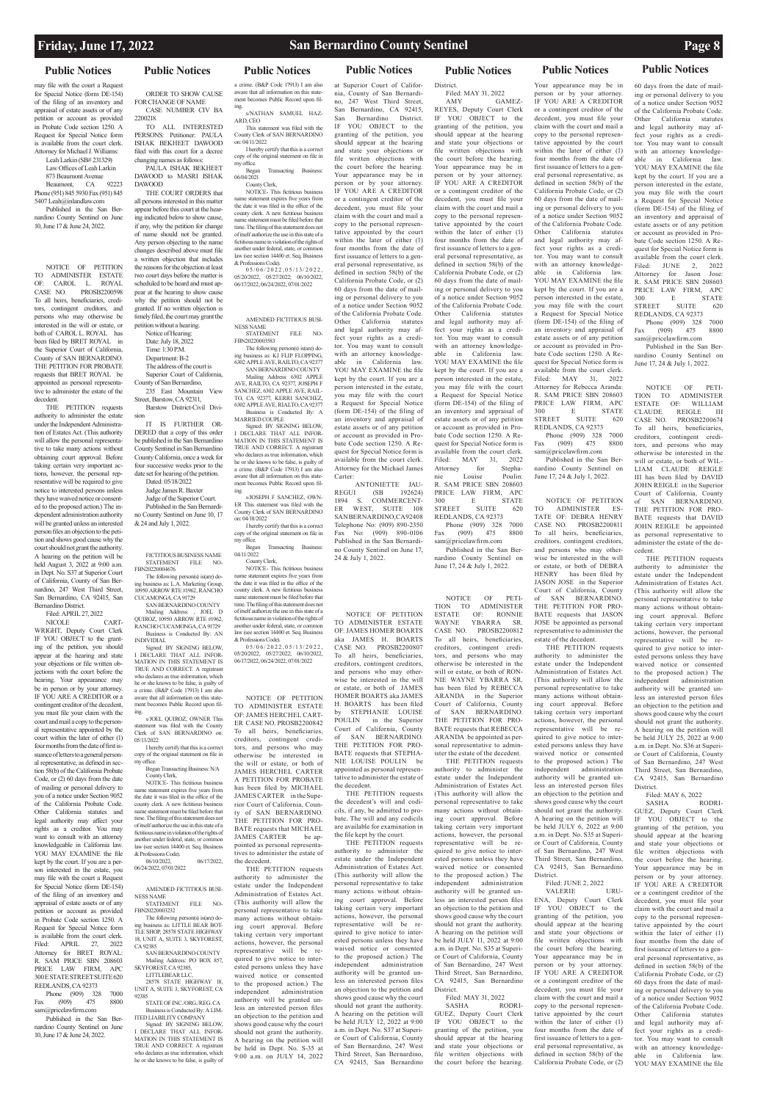SUITE 620

# **Public Notices Public Notices Public Notices Public Notices Public Notices Public Notices Public Notices**

may file with the court a Request for Special Notice (form DE-154) of the filing of an inventory and appraisal of estate assets or of any petition or account as provided in Probate Code section 1250. A Request for Special Notice form is available from the court clerk. Attorney for Michael J. Williams:

Leah Larkin (SB# 231329) Law Offices of Leah Larkin 873 Beaumont Avenue<br>Beaumont CA 92223 Beaumont, CA Phone (951) 845 5930 Fax (951) 845

5407 Leah@inlandlaw.com Published in the San Ber-

nardino County Sentinel on June 10, June 17 & June 24, 2022.

NOTICE OF PETITION TO ADMINISTER ESTATE OF: CAROL L. ROYAL CASE NO. PROSB2200598 To all heirs, beneficiaries, creditors, contingent creditors, and persons who may otherwise be interested in the will or estate, or both of CAROL L. ROYAL has been filed by BRET ROYAL in the Superior Court of California, County of SAN BERNARDINO. THE PETITION FOR PROBATE requests that BRET ROYAL be appointed as personal representative to administer the estate of the decedent.

THE PETITION requests authority to administer the estate under the Independent Administration of Estates Act. (This authority will allow the personal representative to take many actions without obtaining court approval. Before taking certain very important actions, however, the personal representative will be required to give notice to interested persons unless they have waived notice or consented to the proposed action.) The independent administration authority will be granted unless an interested person files an objection to the petition and shows good cause why the court should not grant the authority. A hearing on the petition will be held August 3, 2022 at 9:00 a.m. in Dept. No. S37 at Superior Court of California, County of San Bernardino, 247 West Third Street, San Bernardino, CA 92415, San Bernardino District.

Filed: APRIL 27, 2022 CART-WRIGHT, Deputy Court Clerk IF YOU OBJECT to the granting of the petition, you should appear at the hearing and state your objections or file written objections with the court before the hearing. Your appearance may be in person or by your attorney. IF YOU ARE A CREDITOR or a contingent creditor of the decedent, you must file your claim with the court and mail a copy to the personal representative appointed by the court within the later of either (1) four months from the date of first issuance of letters to a general personal representative, as defined in section 58(b) of the California Probate Code, or (2) 60 days from the date of mailing or personal delivery to you of a notice under Section 9052 of the California Probate Code. Other California statutes and legal authority may affect your rights as a creditor. You may want to consult with an attorney knowledgeable in California law. YOU MAY EXAMINE the file kept by the court. If you are a person interested in the estate, you may file with the court a Request for Special Notice (form DE-154) of the filing of an inventory and appraisal of estate assets or of any petition or account as provided in Probate Code section 1250. A Request for Special Notice form is available from the court clerk. Filed: APRIL 27, 2022 Attorney for BRET ROYAL: R. SAM PRICE SBN 208603 PRICE LAW FIRM, APC 300 E STATE STREET SUITE 620 REDLANDS, CA 92373

ment becomes Public Record upon filing. s/JOEL QUIROZ, OWNER This statement was filed with the County Clerk of SAN BERNARDINO on: 05/13/2022

### AMENDED FICTITIOUS BUSI-NESS NAME SETATRIMENT FILE NO-

Phone (909) 328 7000  $\text{Fax}$  (909) 475 8800 sam@pricelawfirm.com

Published in the San Bernardino County Sentinel on June 10, June 17 & June 24, 2022.

ORDER TO SHOW CAUSE FOR CHANGE OF NAME CASE NUMBER CIV BA 2200218

> name statement expires five years from the date it was filed in the office of the county clerk. A new fictitious business name statement must be filed before that time. The filing of this statement does not of itself authorize the use in this state of a fictitious name in violation of the rights of another under federal, state, or common law (see section 14400 et. Seq. Business & Professions Code).<br>0 5/0 6/2 0 2 2 , 0 5/1 3/2 0 2 2 ,

TO ALL INTERESTED PERSONS: Petitioner: PAULA ISHAK BEKHEET DAWOOD filed with this court for a decree changing names as follows:

PAULA ISHAK BEKHEET DAWOOD to MASRI ISHAK DAWOOD

THE COURT ORDERS that all persons interested in this matter appear before this court at the hearing indicated below to show cause, if any, why the petition for change of name should not be granted. Any person objecting to the name changes described above must file a written objection that includes the reasons for the objection at least two court days before the matter is scheduled to be heard and must appear at the hearing to show cause why the petition should not be granted. If no written objection is timely filed, the court may grant the petition without a hearing. Notice of Hearing: Date: July 18, 2022 Time: 1:30 P.M.

> Began Transacting Business: 04/11/2022 County Clerk, NOTICE- This fictitious business

Department: B-2 The address of the court is Superior Court of California, County of San Bernardino,

235 East Mountain View Street, Barstow, CA 92311,

Barstow District-Civil Division

IT IS FURTHER OR-DERED that a copy of this order be published in the San Bernardino County Sentinel in San Bernardino County California, once a week for four successive weeks prior to the date set for hearing of the petition. Dated: 05/18/2022

Judge James R. Baxter

Judge of the Superior Court. Published in the San Bernardi-

no County Sentinel on June 10, 17 & 24 and July 1, 2022.

# FICTITIOUS BUSINESS NAME

STATEMENT FILE NO-FBN20220004676 The following person(s) is(are) doing business as: L.A. Marketing Group, 10950 ARROW RTE #1962, RANCHO

CUCAMONGA, CA 91729 SAN BERNARDINO COUNTY Mailing Address: , JOEL D QUIROZ, 10950 ARROW RTE #1962, RANCHO CUCAMONGA, CA 91729 Business is Conducted By: AN

INDIVIDIAL Signed: BY SIGNING BELOW, I DECLARE THAT ALL INFOR-MATION IN THIS STATEMENT IS TRUE AND CORRECT. A registrant who declares as true information, which he or she knows to be false, is guilty of a crime. (B&P Code 17913) I am also

aware that all information on this state-

I hereby certify that this is a correct copy of the original statement on file in my office.

Began Transacting Business: N/A County Clerk,

NOTICE- This fictitious business name statement expires five years from the date it was filed in the office of the county clerk. A new fictitious business name statement must be filed before that time. The filing of this statement does not of itself authorize the use in this state of a fictitious name in violation of the rights of another under federal, state, or conlaw (see section 14400 et. Seq. Business & Professions Code).

# Telephone No: (909) 890-2350<br>Fax No: (909) 890-0106 Published in the San Bernardino County Sentinel on June 17, 24 & July 1, 2022. NOTICE OF PETITION TO ADMINISTER ESTATE OF: JAMES HOMER BOARTS

06/10/2022, 06/17/2022, 06/24/2022, 07/01/2022

FBN20220003232

The following person(s) is(are) do-

ing business as: LITTLE BEAR BOT-TLE SHOP, 28578 STATE HIGHWAY 18, UNIT A, SUITE 3, SKYFOREST, CA 92385 SAN BERNARDINO COUNTY

Mailing Address: PO BOX 857, SKYFOREST, CA 92385,

LITTLEBEAR LLC,

28578 STATE HIGHWAY 18, UNIT A, SUITE 3, SKYFOREST, CA 92385

STATE OF INC./ORG./REG. CA Business is Conducted By: A LIM-ITED LIABILITY COMPANY Signed: BY SIGNING BELOW, I DECLARE THAT ALL INFOR-MATION IN THIS STATEMENT IS TRUE AND CORRECT. A registrant who declares as true information, which he or she knows to be false, is guilty of

a crime. (B&P Code 17913) I am also

aware that all information on this statement becomes Public Record upon filing. s/NATHAN SAMUEL HAZ-ARD, CEO

This statement was filed with the County Clerk of SAN BERNARDINO on: 04/11/2022 I hereby certify that this is a correct copy of the original statement on file in my office. Began Transacting Business:

06/04/2021 County Clerk, NOTICE- This fictitious business

> Phone (909) 328 7000<br>x (909) 475 8800 Fax  $(909)$ sam@pricelawfirm.com

05/20/2022, 05/27/2022; 06/10/2022, 06/17/2022, 06/24/2022, 07/01/2022

AMENDED FICTITIOUS BUSI-NESS NAME STATEMENT FILE NO-

FBN20220003583 The following person(s) is(are) doing business as: KJ FLIP FLOPPING,

6302 APPLE AVE, RAILTO, CA 92377 SAN BERNARDINO COUNTY Mailing Address: 6302 APPLE AVE, RAILTO, CA 92377, JOSEPH F SANCHEZ, 6302 APPLE AVE, RAIL-TO, CA 92377, KERRI SANCHEZ 6302 APPLE AVE, RIALTO, CA 92377 Business is Conducted By: A

MARRIED COUPLE Signed: BY SIGNING BELOW. I DECLARE THAT ALL INFOR-MATION IN THIS STATEMENT IS TRUE AND CORRECT. A registrant who declares as true information, which he or she knows to be false, is guilty of a crime. (B&P Code 17913) I am also aware that all information on this state ment becomes Public Record upon fil-

> SASHA GUEZ, Deputy Court Clerk IF YOU OBJECT to the granting of the petition, you should appear at the hearing and state your objections or file written objections with the court before the hearing.

ing. s/JOSEPH F SANCHEZ, OWN-ER This statement was filed with the County Clerk of SAN BERNARDINO on: 04/18/2022

> I hereby certify that this is a correct copy of the original statement on file in my office.

name statement expires five years from the date it was filed in the office of the county clerk. A new fictitious business name statement must be filed before that time. The filing of this statement does not of itself authorize the use in this state of a fictitious name in violation of the rights of another under federal, state, or common law (see section 14400 et. Seq. Business & Professions Code).<br>0 5/0 6/2 0 2 2 , 0 5/1 3/2 0 2 2 , 05/20/2022, 05/27/2022; 06/10/2022,

Phone (909) 328 7000 Fax  $(909)$ sam@pricelawfirm.com Published in the San Ber-

06/17/2022, 06/24/2022, 07/01/2022

NOTICE OF PETITION TO ADMINISTER ESTATE OF: JAMES HERCHEL CART-ER CASE NO. PROSB2200842 To all heirs, beneficiaries, creditors, contingent creditors, and persons who may otherwise be interested in the will or estate, or both of JAMES HERCHEL CARTER A PETITION FOR PROBATE has been filed by MICHAEL JAMES CARTER in the Superior Court of California, County of SAN BERNARDINO. THE PETITION FOR PRO-BATE requests that MICHAEL JAMES CARTER be appointed as personal representa-

tives to administer the estate of

60 days from the date of mailing or personal delivery to you of a notice under Section 9052 of the California Probate Code. Other California statutes and legal authority may affect your rights as a creditor. You may want to consult with an attorney knowledgeable in California law. YOU MAY EXAMINE the file kept by the court. If you are a person interested in the estate, you may file with the court a Request for Special Notice (form DE-154) of the filing of an inventory and appraisal of estate assets or of any petition or account as provided in Probate Code section 1250. A Request for Special Notice form is available from the court clerk. Filed: JUNE 2, 2022 Attorney for Jason Jose: R. SAM PRICE SBN 208603 PRICE LAW FIRM, APC<br>300 E STATE 300 E STATE<br>STREET SUITE 620

the decedent. THE PETITION requests authority to administer the estate under the Independent Administration of Estates Act. (This authority will allow the personal representative to take many actions without obtaining court approval. Before taking certain very important actions, however, the personal representative will be required to give notice to interested persons unless they have waived notice or consented to the proposed action.) The independent administration authority will be granted unless an interested person files an objection to the petition and shows good cause why the court should not grant the authority. A hearing on the petition will be held in Dept. No. S-35 at

# Filed: MAY 31, 2022<br>SASHA RODRI-

NOTICE OF PETI-TION TO ADMINISTER ESTATE OF: WILLIAM<br>CLAUDE REIGLE III DEIGLE III

9:00 a.m. on JULY 14, 2022

### at Superior Court of California, County of San Bernardino, 247 West Third Street, San Bernardino, CA 92415, San Bernardino District. IF YOU OBJECT to the granting of the petition, you should appear at the hearing and state your objections or file written objections with the court before the hearing. Your appearance may be in person or by your attorney. IF YOU ARE A CREDITOR or a contingent creditor of the decedent, you must file your claim with the court and mail a copy to the personal representative appointed by the court within the later of either (1) four months from the date of first issuance of letters to a general personal representative, as defined in section 58(b) of the California Probate Code, or (2) 60 days from the date of mailing or personal delivery to you of a notice under Section 9052 of the California Probate Code. Other California statutes and legal authority may affect your rights as a creditor. You may want to consult with an attorney knowledgeable in California law. YOU MAY EXAMINE the file kept by the court. If you are a person interested in the estate, you may file with the court

a Request for Special Notice (form DE-154) of the filing of an inventory and appraisal of estate assets or of any petition or account as provided in Probate Code section 1250. A Request for Special Notice form is available from the court clerk. Attorney for the Michael James Carter:

ANTONIETTE JAU-<br>REGUI (SB 192624) (SB 192624) 1894 S. COMMERCENT-ER WEST, SUITE 108 SANBERNARDINO, CA92408 No:  $(909)$  890-0106

aka JAMES H. BOARTS CASE NO. PROSB2200807 To all heirs, beneficiaries, creditors, contingent creditors, and persons who may otherwise be interested in the will or estate, or both of JAMES HOMER BOARTS aka JAMES H. BOARTS has been filed by STEPHANIE LOUISE POULIN in the Superior Court of California, County of SAN BERNARDINO. THE PETITION FOR PRO-BATE requests that STEPHA-NIE LOUISE POULIN be appointed as personal representative to administer the estate of the decedent.

the decedent's will and codicils, if any, be admitted to probate. The will and any codicils are available for examination in

THE PETITION requests the file kept by the court.

THE PETITION requests authority to administer the estate under the Independent Administration of Estates Act. (This authority will allow the personal representative to take many actions without obtaining court approval. Before taking certain very important actions, however, the personal representative will be required to give notice to interested persons unless they have waived notice or consented to the proposed action.) The independent administration authority will be granted unless an interested person files an objection to the petition and shows good cause why the court should not grant the authority. A hearing on the petition will be held JULY 12, 2022 at 9:00 a.m. in Dept. No. S37 at Superior Court of California, County of San Bernardino, 247 West Third Street, San Bernardino, CA 92415, San Bernardino

District. Filed: MAY 31, 2022 AMY GAMEZ-

REYES, Deputy Court Clerk IF YOU OBJECT to the granting of the petition, you should appear at the hearing and state your objections or file written objections with the court before the hearing. Your appearance may be in person or by your attorney. IF YOU ARE A CREDITOR or a contingent creditor of the decedent, you must file your claim with the court and mail a copy to the personal representative appointed by the court within the later of either (1) four months from the date of first issuance of letters to a general personal representative, as defined in section 58(b) of the California Probate Code, or (2) 60 days from the date of mailing or personal delivery to you of a notice under Section 9052 of the California Probate Code. Other California statutes and legal authority may affect your rights as a creditor. You may want to consult with an attorney knowledgeable in California law. YOU MAY EXAMINE the file kept by the court. If you are a person interested in the estate, you may file with the court a Request for Special Notice (form DE-154) of the filing of an inventory and appraisal of estate assets or of any petition or account as provided in Probate Code section 1250. A Request for Special Notice form is available from the court clerk. Filed: MAY 31, 2022<br>Attorney for Stepha-Attorney for Stepha-<br>nie Louise Poulin: nie Louise R. SAM PRICE SBN 208603 PRICE LAW FIRM, APC 300 E STATE<br>STREET SUITE 620 STREET SUITE 620 REDLANDS, CA 92373

Published in the San Bernardino County Sentinel on June 17, 24 & July 1, 2022.

NOTICE OF PETI-TION TO ADMINISTER<br>ESTATE OF: RONNIE ESTATE OF: RONNIE<br>WAYNE YBARRA SR. YBARRA SR. CASE NO. PROSB2200812 To all heirs, beneficiaries, creditors, contingent creditors, and persons who may otherwise be interested in the will or estate, or both of RON-NIE WAYNE YBARRA SR. has been filed by REBECCA ARANDA in the Superior Court of California, County of SAN BERNARDINO. THE PETITION FOR PRO-BATE requests that REBECCA ARANDA be appointed as personal representative to administer the estate of the decedent.

THE PETITION requests authority to administer the estate under the Independent Administration of Estates Act. (This authority will allow the personal representative to take many actions without obtaining court approval. Before taking certain very important actions, however, the personal representative will be required to give notice to interested persons unless they have waived notice or consented to the proposed action.) The independent administration authority will be granted unless an interested person files an objection to the petition and shows good cause why the court should not grant the authority. A hearing on the petition will be held JULY 11, 2022 at 9:00 a.m. in Dept. No. S35 at Superior Court of California, County of San Bernardino, 247 West Third Street, San Bernardino, CA 92415, San Bernardino District.

Your appearance may be in person or by your attorney. IF YOU ARE A CREDITOR or a contingent creditor of the decedent, you must file your claim with the court and mail a copy to the personal representative appointed by the court within the later of either (1) four months from the date of first issuance of letters to a general personal representative, as defined in section 58(b) of the California Probate Code, or (2) 60 days from the date of mailing or personal delivery to you of a notice under Section 9052 of the California Probate Code. Other California statutes and legal authority may affect your rights as a creditor. You may want to consult with an attorney knowledgeable in California law. YOU MAY EXAMINE the file kept by the court. If you are a person interested in the estate, you may file with the court a Request for Special Notice (form DE-154) of the filing of an inventory and appraisal of estate assets or of any petition or account as provided in Probate Code section 1250. A Request for Special Notice form is available from the court clerk. Filed: MAY 31, 2022 Attorney for Rebecca Aranda: R. SAM PRICE SBN 208603 PRICE LAW FIRM, APC 300 E STATE<br>STREET SUITE 620 SUITE 620 REDLANDS, CA 92373

nardino County Sentinel on June 17, 24 & July 1, 2022. NOTICE OF PETITION

TO ADMINISTER ES-TATE OF: DEBRA HENRY CASE NO. PROSB2200811 To all heirs, beneficiaries, creditors, contingent creditors, and persons who may otherwise be interested in the will or estate, or both of DEBRA HENRY has been filed by JASON JOSE in the Superior Court of California, County of SAN BERNARDINO. THE PETITION FOR PRO-BATE requests that JASON JOSE be appointed as personal representative to administer the

estate of the decedent. THE PETITION requests authority to administer the estate under the Independent Administration of Estates Act. (This authority will allow the personal representative to take many actions without obtaining court approval. Before taking certain very important actions, however, the personal representative will be required to give notice to interested persons unless they have waived notice or consented to the proposed action.) The independent administration authority will be granted unless an interested person files an objection to the petition and shows good cause why the court should not grant the authority. A hearing on the petition will be held  $JULY$  6, 2022 at 9:00 a.m. in Dept. No. S35 at Superior Court of California, County

of San Bernardino, 247 West

Filed: JUNE 2, 2022<br>VALERIE URU-VALERIE

Third Street, San Bernardino, CA 92415, San Bernardino District.

ENA, Deputy Court Clerk IF YOU OBJECT to the granting of the petition, you should appear at the hearing and state your objections or file written objections with the court before the hearing. Your appearance may be in person or by your attorney. IF YOU ARE A CREDITOR or a contingent creditor of the decedent, you must file your claim with the court and mail a copy to the personal represen-

tative appointed by the court within the later of either (1) four months from the date of first issuance of letters to a general personal representative, as defined in section 58(b) of the California Probate Code, or (2)

REDLANDS, CA 92373 Phone (909) 328 7000 Fax (909) 475 8800 sam@pricelawfirm.com Published in the San Bernardino County Sentinel on June 17, 24 & July 1, 2022.

CASE NO. PROSB2200674 To all heirs, beneficiaries, creditors, contingent creditors, and persons who may otherwise be interested in the will or estate, or both of WIL-LIAM CLAUDE REIGLE III has been filed by DAVID JOHN REIGLE in the Superior Court of California, County of SAN BERNARDINO. THE PETITION FOR PRO-BATE requests that DAVID JOHN REIGLE be appointed as personal representative to administer the estate of the de-

cedent.

THE PETITION requests authority to administer the estate under the Independent Administration of Estates Act. (This authority will allow the personal representative to take many actions without obtaining court approval. Before taking certain very important actions, however, the personal representative will be required to give notice to interested persons unless they have waived notice or consented to the proposed action.) The independent administration authority will be granted unless an interested person files an objection to the petition and shows good cause why the court should not grant the authority. A hearing on the petition will be held JULY 25, 2022 at 9:00 a.m. in Dept. No. S36 at Superior Court of California, County

of San Bernardino, 247 West Third Street, San Bernardino, CA 92415, San Bernardino District.

Filed: MAY 6, 2022<br>SASHA RODRI-

SASHA GUEZ, Deputy Court Clerk IF YOU OBJECT to the granting of the petition, you should appear at the hearing and state your objections or file written objections with court before the hearing

Your appearance may be in person or by your attorney. IF YOU ARE A CREDITOR or a contingent creditor of the decedent, you must file your claim with the court and mail a copy to the personal representative appointed by the court within the later of either (1) four months from the date of first issuance of letters to a general personal representative, as defined in section 58(b) of the California Probate Code, or (2) 60 days from the date of mailing or personal delivery to you of a notice under Section 9052 of the California Probate Code. Other California statutes and legal authority may affect your rights as a creditor. You may want to consult with an attorney knowledgeable in California law. YOU MAY EXAMINE the file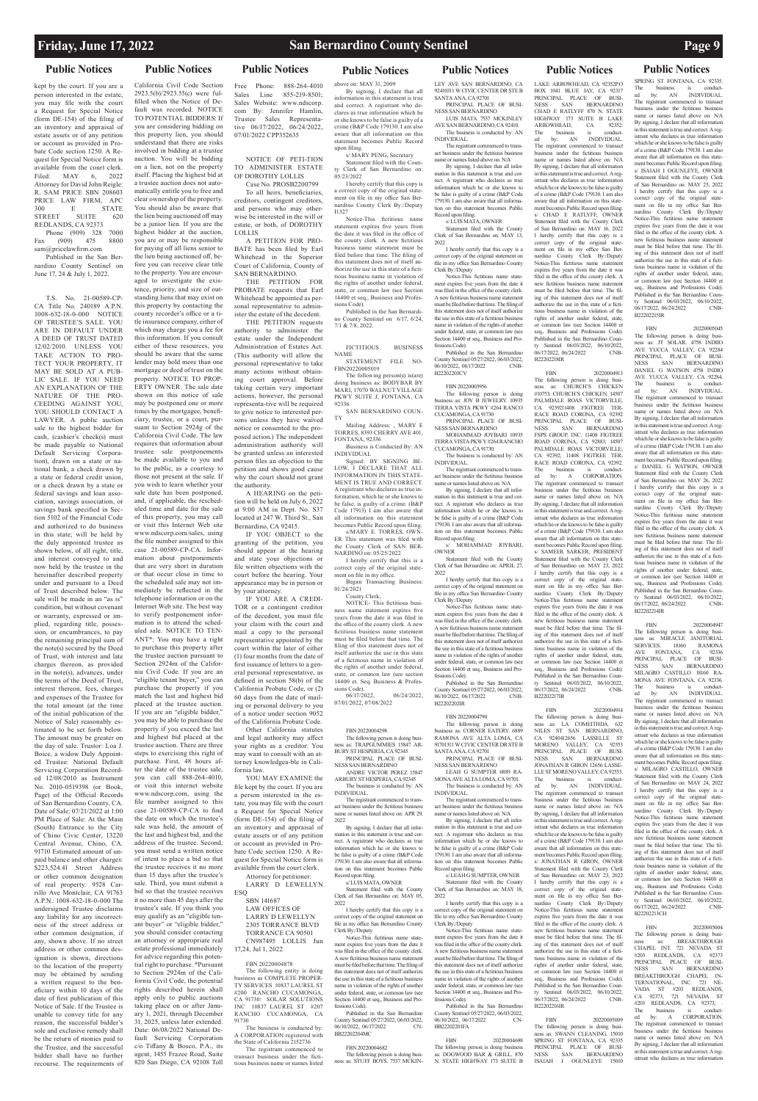kept by the court. If you are a person interested in the estate, you may file with the court a Request for Special Notice (form DE-154) of the filing of an inventory and appraisal of estate assets or of any petition or account as provided in Probate Code section 1250. A Request for Special Notice form is available from the court clerk. Filed: MAY 6, 2022 Attorney for David John Reigle: R. SAM PRICE SBN 208603 PRICE LAW FIRM, APC<br>300 F STATE **STATE** STREET SUITE 620 REDLANDS, CA 92373

Phone (909) 328 7000<br>(909) 475 8800 Fax  $(909)$  475 sam@pricelawfirm.com Published in the San Ber-

nardino County Sentinel on June 17, 24 & July 1, 2022.

T.S. No. 21-00589-CP-CA Title No. 240189 A.P.N. 1008-632-18-0-000 NOTICE OF TRUSTEE'S SALE. YOU ARE IN DEFAULT UNDER A DEED OF TRUST DATED 12/02/2010. UNLESS YOU TAKE ACTION TO PRO-TECT YOUR PROPERTY, IT MAY BE SOLD AT A PUB-LIC SALE. IF YOU NEED AN EXPLANATION OF THE NATURE OF THE PRO-CEEDING AGAINST YOU, YOU SHOULD CONTACT A LAWYER. A public auction sale to the highest bidder for cash, (cashier's check(s) must be made payable to National Default Servicing Corporation), drawn on a state or national bank, a check drawn by a state or federal credit union, or a check drawn by a state or federal savings and loan association, savings association, or savings bank specified in Section 5102 of the Financial Code and authorized to do business in this state; will be held by the duly appointed trustee as shown below, of all right, title, and interest conveyed to and now held by the trustee in the hereinafter described property under and pursuant to a Deed of Trust described below. The sale will be made in an "as is" condition, but without covenant or warranty, expressed or implied, regarding title, possession, or encumbrances, to pay the remaining principal sum of the note(s) secured by the Deed of Trust, with interest and late charges thereon, as provided in the note(s), advances, under the terms of the Deed of Trust, interest thereon, fees, charges and expenses of the Trustee for the total amount (at the time of the initial publication of the Notice of Sale) reasonably estimated to be set forth below. The amount may be greater on the day of sale. Trustor: Loa J. Boice, a widow Duly Appointed Trustee: National Default Servicing Corporation Recorded 12/08/2010 as Instrument No. 2010-0519398 (or Book, Page) of the Official Records of San Bernardino County, CA. Date of Sale: 07/21/2022 at 1:00 PM Place of Sale: At the Main (South) Entrance to the City of Chino Civic Center, 13220 Central Avenue, Chino, CA. 91710 Estimated amount of unnce and other charges \$223,524.41 Street Address or other common designation of real property: 9528 Carrillo Ave Montclair, CA 91763 A.P.N.: 1008-632-18-0-000 The undersigned Trustee disclaims any liability for any incorrectness of the street address or other common designation, if any, shown above. If no street address or other common designation is shown, directions to the location of the property may be obtained by sending a written request to the beneficiary within 10 days of the date of first publication of this Notice of Sale. If the Trustee is unable to convey title for any reason, the successful bidder's sole and exclusive remedy shall be the return of monies paid to the Trustee, and the successful bidder shall have no further recourse. The requirements of

**Public Notices Public Notices Public Notices Public Notices Public Notices Public Notices Public Notices**

# California Civil Code Section 2923.5(b)/2923.55(c) were fulfilled when the Notice of Default was recorded. NOTICE TO POTENTIAL BIDDERS: If you are considering bidding on

Free Phone: 888-264-4010<br>Sales Line 855-219-8501; 855-219-8501; Sales Website: www.ndscorp. com By: Jennifer Hamlin, Trustee Sales Representative 06/17/2022, 06/24/2022, 07/01/2022 CPP352635

YOU MAY EXAMINE the file kept by the court. If you are a person interested in the estate, you may file with the court a Request for Special Notice (form DE-154) of the filing of an inventory and appraisal of estate assets or of any petition or account as provided in Pro-

CA 91730: SOLAR SOLUTIONS<br>INC 10837 LAUREL ST #207 1750. BOLAN BOLD ..... RANCHO CUCAMONGA, CA 91730 The business is conducted by: A CORPORATION registered with the State of California 2152736 The registrant commenced to transact business under the fictitious business name or names listed

tatement expires five years from the date it was filed in the office of the county clerk. A new fictitious business name statement must be filed before that time. The filing of this statement does not of itself authorize the use in this state of a fictitious business name in violation of the rights of another under federal, state, or common law (see Section 14400 et seq., Business and Professions Code).

FICTITIOUS BUSINESS NAME STATEMENT FILE NO-

LOW, I DECLARE THAT ALL INFORMATION IN THIS STATE-MENT IS TRUE AND CORRECT. A registrant who declares as true information, which he or she knows to be false, is guilty of a crime. (B&P Code 17913) I am also aware that all information on this statement becomes Public Record upon filing.  $s/MARY$  E. TORRES, OWN.

NOTICE- This fictitious business name statement expires five years from the date it was filed in the office of the county clerk. A new fictitious business name statement must be filed before that time. The filing of this statement does not of itself authorize the use in this state of a fictitious name in violation of the rights of another under federal, state, or common law (see section 14400 et. Seq. Business & Professions Code).<br>06/17/2022.

06/24/2022. 07/01/2022, 07/08/2022

### FBN 20220004298 The following person is doing business as: TRAPGUMMIES 15847 AR-

The registrant com act business under the fictitious business name or names listed above on: APR 29, 2022

Special Notice form is LARRY D LEWELLYN 179130. I am also aware that all information on this statement becomes Public Record upon filing.

> I hereby certify that this copy is a rect copy of the original statement on correct copy of the original statem file in my office San Bernardino County

this property lien, you should understand that there are risks involved in bidding at a trustee auction. You will be bidding on a lien, not on the property itself. Placing the highest bid at a trustee auction does not automatically entitle you to free and clear ownership of the property. You should also be aware that the lien being auctioned off may be a junior lien. If you are the highest bidder at the auction, you are or may be responsible for paying off all liens senior to the lien being auctioned off, before you can receive clear title to the property. You are encouraged to investigate the existence, priority, and size of outstanding liens that may exist on this property by contacting the county recorder's office or a title insurance company, either of which may charge you a fee for this information. If you consult either of these resources, you should be aware that the same lender may hold more than one mortgage or deed of trust on the property. NOTICE TO PROP-ERTY OWNER: The sale date shown on this notice of sale may be postponed one or more times by the mortgagee, beneficiary, trustee, or a court, pursuant to Section 2924g of the California Civil Code. The law requires that information about trustee sale postponements be made available to you and to the public, as a courtesy to those not present at the sale. If you wish to learn whether your sale date has been postponed, and, if applicable, the rescheduled time and date for the sale of this property, you may call or visit this Internet Web site www.ndscorp.com/sales, using the file number assigned to this case 21-00589-CP-CA. Information about postponements that are very short in duration or that occur close in time to the scheduled sale may not immediately be reflected in the telephone information or on the Internet Web site. The best way to verify postponement information is to attend the scheduled sale. NOTICE TO TEN-ANT\*: You may have a right to purchase this property after the trustee auction pursuant to Section 2924m of the California Civil Code. If you are an "eligible tenant buyer," you can purchase the property if you match the last and highest bid placed at the trustee auction. If you are an "eligible bidder." you may be able to purchase the property if you exceed the last and highest bid placed at the trustee auction. There are three steps to exercising this right of purchase. First, 48 hours after the date of the trustee sale, you can call 888-264-4010, or visit this internet website www.ndscorp.com, using the file number assigned to this case 21-00589-CP-CA to find the date on which the trustee's sale was held, the amount of the last and highest bid, and the address of the trustee. Second, you must send a written notice of intent to place a bid so that the trustee receives it no more than 15 days after the trustee's sale. Third, you must submit a bid so that the trustee receives it no more than 45 days after the trustee's sale. If you think you may qualify as an "eligible tenant buyer" or "eligible bidder," you should consider contacting an attorney or appropriate real estate professional immediately for advice regarding this potential right to purchase. \*Pursuant to Section 2924m of the California Civil Code, the potential rights described herein shall apply only to public auctions taking place on or after January 1, 2021, through December 31, 2025, unless later extended. Date: 06/08/2022 National Default Servicing Corporation c/o Tiffany & Bosco, P.A., its agent, 1455 Frazee Road, Suite 820 San Diego, CA 92108 Toll bate Code section 1250. A Reavailable from the court clerk. ESQ 17,24, Jul 1, 2022 The following entity is doing business as COMPLETE PROPER-TY SERVICES 10837 LAUREL ST #200 RANCHO CUCAMONGA,

LEY AVE SAN BERNARDINO, CA 92410311 W CIVIC CENTER DR STE B SANTA ANA, CA 92701 PRINCIPAL PLACE OF BUSI-

The registrant comm act business under the fictitious business name or names listed above on: N/A

NOTICE OF PETI-TION TO ADMINISTER ESTATE OF DOROTHY LOLLIS

By signing, I declare that all information in this statement is true and correct. A registrant who declares as true information which he or she knows to be false is guilty of a crime (B&P Code 179130. I am also aware that all information on this statement becomes Public

Statement filed with the Cou Clerk of San Bernardino on: MAY 13, 2022

Case No. PROSB2200799 To all heirs, beneficiaries, creditors, contingent creditors, and persons who may otherwise be interested in the will or estate, or both, of DOROTHY

LOLLIS A PETITION FOR PRO-BATE has been filed by Earl Whitehead in the Superior Court of California, County of SAN BERNARDINO.

THE PETITION FOR PROBATE requests that Earl Whitehead be appointed as personal representative to admin-

> Published in the San Be County Sentinel 05/27/2022, 06/03/2022, 06/10/2022, 06/17/2022 B22202203CV

ister the estate of the decedent. THE PETITION requests authority to administer the estate under the Independent Administration of Estates Act. (This authority will allow the personal representative to take many actions without obtaining court approval. Before taking certain very important actions, however, the personal representa-tive will be required to give notice to interested persons unless they have waived notice or consented to the proposed action.) The independent administration authority will be granted unless an interested

> OWNER<br>Stateme ent filed with the C Clerk of San Bernardino on: APRIL 27, 2022

person files an objection to the petition and shows good cause why the court should not grant the authority. A HEARING on the petition will be held on July 6, 2022 at 9:00 AM in Dept. No. S37

> The following person is doing business as: CORNER EATERY. 6889 RAMONA AVE ALTA LOMA, CA 91701311 W CIVIC CENTER DR STE B SANTA ANA, CA 92701 PRINCIPAL PLACE OF BUSI-

located at 247 W. Third St., San Bernardino, CA 92415. IF YOU OBJECT to the granting of the petition, you should appear at the hearing and state your objections or

> The registrant comm act business under the fictitious business name or names listed above on: N/A

By signing, I declare that all information in this statement is true and correct. A registrant who declares as true information which he or she knows to be false is guilty of a crime (B&P Code 179130. I am also aware that all informa-

file written objections with the court before the hearing. Your appearance may be in person or by your attorney. IF YOU ARE A CREDI-

> Statement filed with the County Clerk of San Bernardino on: MAY 18, 2022

TOR or a contingent creditor of the decedent, you must file your claim with the court and mail a copy to the personal representative appointed by the court within the later of either (1) four months from the date of first issuance of letters to a general personal representative, as defined in section 58(b) of the California Probate Code, or (2) 60 days from the date of mailing or personal delivery to you of a notice under section 9052 of the California Probate Code.

> Published in the San Bern County Sentinel 05/27/2022, 06/03/2022,<br>06/10/2022 06/17/2022 CN-06/10/2022, 06/17/2022 BB22202201FA

Other California statutes

## 20220004698 The following person is doing business as: DOGWOOD BAR & GRILL. 870 N. STATE HIGHWAY 173 SUITE B

LAKE ARROWHEAD, CA 92352P.O BOX 1041 BLUE JAY, CA 92317 PRINCIPAL PLACE OF BUSI-NESS SAN BERNARDINO CHAD E RATLYFF 870 N. STATE HIGHWAY 173 SUITE B LAKE<br>ARROWHEAD CA 92352 ARROWHEAD, CA<br>The business is business ed by: AN INDIVIDUAL.<br>The registrant commenced to transact The registrant comm business under the fictitious business name or names listed above on: N/A By signing, I declare that all information in this statement is true and correct. A registrant who declares as true information which he or she knows to be false is guilty of a crime (B&P Code 179130. I am also aware that all information on this statement becomes Public Record upon filing. CHAD E RATLYFF, OWNER Statement filed with the County Clerk of San Bernardino on: MAY 16, 2022 I hereby certify that this copy is a correct copy of the original statement on file in my office San Ber-nardino County Clerk By:/Deputy Notice-This fictitious name statement expires five years from the date it was filed in the office of the county clerk. A new fictitious business name statement must be filed before that time. The filing of this statement does not of itself authorize the use in this state of a fictitious business name in violation of the rights of another under federal, or common law (see Section 14400 et seq., Business and Professions Code). Published in the San Bernardino County Sentinel 06/03/2022, 06/10/2022,<br>06/17/2022, 06/24/2022 CNB-6/17/2022, 06/24/2022

and legal authority may affect your rights as a creditor. You may want to consult with an attorney knowledgea-ble in California law.

Attorney for petitioner:

SBN 141687 LAW OFFICES OF LARRY D LEWELLYN 2305 TORRANCE BLVD TORRANCE CA 90501 CN987495 LOLLIS Jun

FBN 20220004878

above on: MAY 31, 2009 By signing, I declare that all information in this statement is true and correct. A registrant who declares as true information which he or she knows to be false is guilty of a crime (B&P Code 179130. I am also aware that all information on this statement becomes Public Record upon filing.

> or common law (see Section 14400 et seq., Business and Professions Code). Published in the San Bernardino Coun-Sentinel 06/03/2022, 06/10/2022,<br>17/2022, 06/24/2022 CNB-

s/ MARY PENG, Secretary Statement filed with the Coun-ty Clerk of San Bernardino on: 05/23/2022 I hereby certify that this copy is

## 06/17/2022, 06/24/2022 FBN 20220004914

The following person is doing business as: LA COMEITHDA. 632 NILES ST SAN BERNARDINO, CA 9240412656 LASSELLE ST MORENO VALLEY, CA 92553 PRINCIPAL PLACE OF BUSI-NESS SAN BERNARDINO JONATHAN R GIRON 12656 LASSE-LLE ST MORENO VALLEY, CA 92553.<br>The business is conduct-The business is conduct-ed by: AN INDIVIDUAL. The registrant commenced to transact business under the fictitious business name or names listed above on: N/A By signing, I declare that all information in this statement is true and correct. A registrant who declares as true information which he or she knows to be false is guilty of a crime (B&P Code 179130. I am also aware that all information on this statement becomes Public Record upon filing. s/ JONATHAN R GIRON, OWNER Statement filed with the County Clerk of San Bernardino on: MAY 23, 2022 I hereby certify that this copy is a correct copy of the original state-ment on file in my office San Bernardino County Clerk By:/Deputy Notice-This fictitious name statement expires five years from the date it was filed in the office of the county clerk. A new fictitious business name statement must be filed before that time. The filing of this statement does not of itself authorize the use in this state of a fictitious business name in violation of the rights of another under federal, state

a correct copy of the original state-ment on file in my office San Bernardino County Clerk By:/Deputy I1327 Notice-This fictitious name

Published in the San Bernardino County Sentinel on 6/17, 6/24, 7/1 & 7/8, 2022.

> or common law (see Section 14400 et seq., Business and Professions Code). Published in the San Bernardino Coun-Sentinel 06/03/2022, 06/10/2022,<br>17/2022, 06/24/2022 CNB-

06/17/2022, 06/24/2022 B22202216IR

FBN20220005019 The following person(s) is(are) doing business as: BODYBAR BY MARI, 17070 WALNUT VILLAGE

PKWY SUITE J, FONTANA, CA 92336 SAN BERNARDINO COUN-TY

Mailing Address: , MARY E TORRES, 8393 CHERRY AVE 401, FONTANA, 92336

Business is Conducted By: AN INDIVIDUAL Signed: BY SIGNING BE-

ER This statement was filed with the County Clerk of SAN BER-NARDINO on: 05/25/2022 I hereby certify that this is a correct copy of the original state-

SPRING ST FONTANA, CA 92335.<br>The business is conducted by: AN INDIVIDUAL. The business is conduct-ed by: AN INDIVIDUAL. The registrant commenced to transact business under the fictitious business name or names listed above on: N/A By signing, I declare that all information in this statement is true and correct. A registrant who declares as true information which he or she knows to be false is guilty of a crime (B&P Code 179130. I am also aware that all information on this statement becomes Public Record upon filing. s/ ISAIAH I OGUNLEYE, OWNER Statement filed with the County Clerk of San Bernardino on: MAY 25, 2022 I hereby certify that this copy is a correct copy of the original statement on file in my office San Bernardino County Clerk By:/Deputy Notice-This fictitious name statement expires five years from the date it was filed in the office of the county clerk. A new fictitious business name statement must be filed before that time. The filing of this statement does not of itself authorize the use in this state of a fictitious business name in violation of the rights of another under federal, state or common law (see Section 14400 et seq., Business and Professions Code). Published in the San Bernardino County Sentinel 06/03/2022, 06/10/2022,<br>06/17/2022, 06/24/2022 CNB-06/17/2022, 06/24/2022 B22202215IR

ment on file in my office. Began Transacting Business: 01/24/2021

County Clerk,

BURY ST HESPERIA, CA 92345 PRINCIPAL PLACE OF BUSI-NESS SAN BERNARDINO

ANDRE VICTOR PEREZ 15847 ARBURY ST HESPERIA, CA 92345 The business is conducted by: AN INDIVIDUAL.

By signing, I declare that all information in this statement is true and cor-rect. A registrant who declares as true information which he or she knows to be false is guilty of a crime (B&P Code

### s/ LUIS MATA, OWNER

Statement filed with the County Clerk of San Bernardino on: MAY 05, 2022

tious business name in violation of the rights of another under federal, state, or common law (see Section 14400 et seq., Business and Professions Code). Published in the San Bernardino County Sentinel 06/03/2022, 06/10/2022, 06/17/2022, 06/24/2022 CNB-B22202213CH

Clerk By:/Deputy Notice-This fictitious name statement expires five years from the date it was filed in the office of the county clerk. A new fictitious business name statement must be filed before that time. The filing of this statement does not of itself authorize the use in this state of a fictitious business name in violation of the rights of another under federal, state, or common law (see Section 14400 et seq., Business and Pro-

fessions Code). Published in the San Bernardino County Sentinel 05/27/2022, 06/03/2022, 06/10/2022, 06/17/2022 CN-BB22202204MC

### FBN 20220004682

The following person is doing busi-ness as: STUFF BOYS. 7537 MCKIN-

NESS SAN BERNARDINO LUIS MATA 7537 MCKINLEY

AVE SAN BERNARDINO, CA 92410. The business is conducted by: AN INDIVIDUAL.

Record upon filing. s/ LUIS MATA, OWNER

I hereby certify that this copy is a correct copy of the original statement on file in my office San Bernardino County Clerk By:/Deputy

Notice-This fictitious name statent expires five years from the date it was filed in the office of the county clerk. A new fictitious business name statement must be filed before that time. The filing of this statement does not of itself authorize the use in this state of a fictitious business name in violation of the rights of another under federal, state, or common law (see Section 14400 et seq., Business and Professions Code).

### FBN 20220003956

The following person is doing business as: JOV B JEWELRY 10035 TERRA VISTA PKWY #264 RANCO CUCAMONGA, CA 91730 PRINCIPAL PLACE OF BUSI-

NESS SAN BERNARDINO MOHAMMAD JOYBARI 10935 TERRA VISTA PKWY #264 RANCHO

CUCAMONGA, CA 91730. The business is conducted by: AN INDIVIDUAL.

The registrant commenced to transact business under the fictitious business name or names listed above on: N/A

By signing, I declare that all information in this statement is true and correct. A registrant who declares as true information which he or she knows to be false is guilty of a crime (B&P Code 179130. I am also aware that all information on this statement becomes Public

Record upon filing. s/ MOHAMMAD JOYBARI,

I hereby certify that this copy is a correct copy of the original statement on file in my office San Bernardino County Clerk By:/Deputy

Notice-This fictitious name statement expires five years from the date it was filed in the office of the county clerk. A new fictitious business name statement must be filed before that time. The filing of this statement does not of itself authorize the use in this state of a fictitious business name in violation of the rights of another under federal, state, or common law (see Section 14400 et seq., Business and Pro-

fessions Code). Published in the San Bernardino County Sentinel 05/27/2022, 06/03/2022,<br>06/10/2022, 06/17/2022 CNB-06/10/2022, 06/17/2022 B22202202IR

## FBN 20220004790

NESS SAN BERNARDINO LEAH G SUMPTER 6889 RA-

MONA AVE ALTA LOMA, CA 91701. The business is conducted by: AN INDIVIDUAL.

tion on this statement becomes Public

## Record upon filing. s/ LEAH G SUMPTER, OWNER

I hereby certify that this copy is a correct copy of the original statement on file in my office San Bernardino County Clerk By:/Deputy

Notice-This fictitious name statement expires five years from the date it was filed in the office of the county clerk. A new fictitious business name statement must be filed before that time. The filing of this statement does not of itself authorize the use in this state of a fictitious business name in violation of the rights of another under federal, state, or common law (see Section 14400 et seq., Business and Professions Code).

B22202218IR

FBN 20220004913 The following person is doing busi-ness as: CHURCH'S CHICKEN #10753; CHURCH'S CHICKEN. 14507 PALMDALE ROAS VICTORVILLE, CA 9239211408 FIGTREE TER-RACE ROAD CORONA, CA 92392 PRINCIPAL PLACE OF BUSI-NESS SAN BERNARDINO FSPS GROUP, INC. 11408 FIGTREE ROAD CORONA, CA 92883; 14507 PALMDALE ROAS VICTORVILLE, CA 92392; 11408 FIGTREE TER-RACE ROAD CORONA, CA 92392. The business is conduct-ed by: A CORPORATION. The registrant commenced to transact business under the fictitious business name or names listed above on: N/A By signing, I declare that all information in this statement is true and correct. A registrant who declares as true information which he or she knows to be false is guilty of a crime (B&P Code 179130. I am also aware that all information on this statement becomes Public Record upon fil s/ SAMEER SARKER, PRESIDENT Statement filed with the County Clerk of San Bernardino on: MAY 23, 2022 I hereby certify that this copy is a correct copy of the original state-ment on file in my office San Bernardino County Clerk By:/Deputy Notice-This fictitious name statement expires five years from the date it was filed in the office of the county clerk. A new fictitious business name statement must be filed before that time. The filing of this statement does not of itself authorize the use in this state of a fictitious business name in violation of the rights of another under federal, state,

B22202217IR

FBN 20220005009 The following person is doing business as: SWANN CLEANING. 15010 SPRING ST FONTANA, CA 92335 PRINCIPAL PLACE OF BUSI-NESS SAN BERNARDINO ISAIAH I OGUNLEYE 15010 FBN 20220005045

The following person is doing business as: JT SOLAR. 4758 INDIIO AVE YUCCA VALLEY, CA 92284 PRINCIPAL PLACE OF BUSI-NESS SAN BERNARDINO DANIEL G WATSON 4758 INDIO AVE YUCCA VALLEY, CA 92284. The business is conduct-ed by: AN INDIVIDUAL. The registrant commenced to transact business under the fictitious business name or names listed above on: N/A By signing, I declare that all information in this statement is true and correct. A registrant who declares as true information which he or she knows to be false is guilty of a crime (B&P Code 179130. I am also aware that all information on this state-ment becomes Public Record upon filing. s/ DANIEL G WATSON, OWNER Statement filed with the County Clerk of San Bernardino on: MAY 26, 2022 hereby certify that this copy is a correct copy of the original statement on file in my office San Ber-nardino County Clerk By:/Deputy Notice-This fictitious name statement expires five years from the date it filed in the office of the county clerk. A new fictitious business name statement must be filed before that time. The filing of this statement does not of itself authorize the use in this state of a fictitious business name in violation of the rights of another under federal, state, or common law (see Section 14400 et seq., Business and Professions Code). Published in the San Bernardino County Sentinel 06/03/2022, 06/10/2022,<br>06/17/2022 06/24/2022 CNB- $06/17/2022$   $06/24/2022$ B22202214IR

## FBN 20220004947

The following person is doing business as: MIRACLE JANITORIAL SERVICES. 18160 RAMONA AVE FONTANA, CA 92336 PRINCIPAL PLACE OF BUSI-NESS SAN BERNARDINO MILAGRO CASTILLO 18160 RA-MONA AVE FONTANA, CA 92336.<br>The business is conduct-The business is conduct-ed by: AN INDIVIDUAL. The registrant commenced to transact business under the fictitious business name or names listed above on: N/A By signing, I declare that all information in this statement is true and correct. A reg-istrant who declares as true information which he or she knows to be false is guilty of a crime (B&P Code 179130. I am also aware that all information on this statement becomes Public Record upon filing. s/ MILAGRO CASTILLO, OWNER Statement filed with the County Clerk of San Bernardino on: MAY 24, 2022 I hereby certify that this copy is a correct copy of the original state-ment on file in my office San Bernardino County Clerk By:/Deputy Notice-This fictitious name statement expires five years from the date it was filed in the office of the county clerk. A new fictitious business name statement must be filed before that time. The filing of this statement does not of itself authorize the use in this state of a ficti-

FBN 20220005004 The following person is doing business as: BREAKTHROUGH CHAPEL INT. 721 NEVADA ST #203 REDLANDS, CA 92373 PRINCIPAL PLACE OF BUSI-NESS SAN BERNARDINO BREAKTHROUGH CHAPEL IN-TERNATIONAL, INC. 721 NE-VADA ST #203 REDLANDS, CA 92373; 721 NEVADA ST #203 REDLANDS, CA 92373; The business is conduct-ed by: A CORPORATION. The registrant commenced to transact business under the fictitious business name or names listed above on: N/A By signing, I declare that all information in this statement is true and correct. A reg-istrant who declares as true information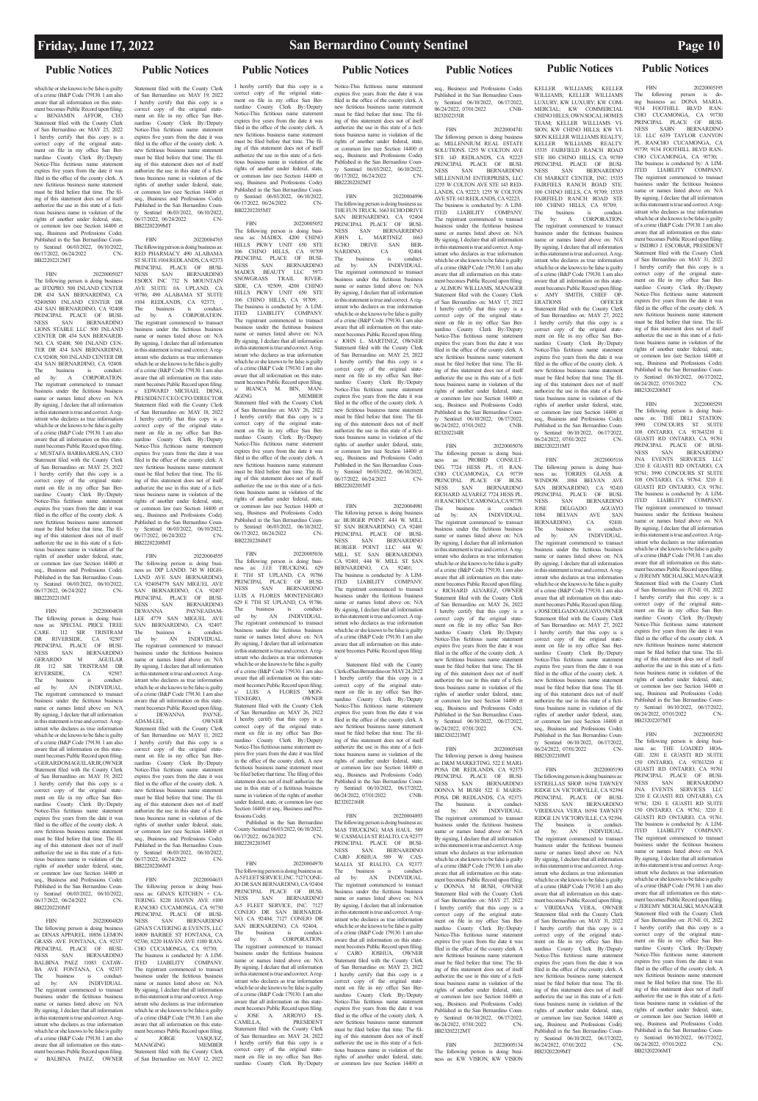## **Public Notices Public Notices**

## **Public Notices Public Notices Public Notices Public Notices Public Notices**

which he or she knows to be false is guilty of a crime (B&P Code 179130. I am also aware that all information on this statement becomes Public Record upon filing. s/ BENJAMIN AFFOR, CEO Statement filed with the County Clerk of San Bernardino on: MAY 25, 2022 I hereby certify that this copy is a correct copy of the original state-ment on file in my office San Bernardino County Clerk By:/Deputy Notice-This fictitious name statement expires five years from the date it was filed in the office of the county clerk. A new fictitious business name statement must be filed before that time. The filing of this statement does not of itself thorize the use in this state of a fictitious business name in violation of the rights of another under federal, state, or common law (see Section 14400 et seq., Business and Professions Code). Published in the San Bernardino Coun-Sentinel 06/03/2022, 06/10/2022, 06/17/2022, 06/24/2022 CN-BB22202212MT

FBN 20220005027 The following person is doing busin as: IFIXPRO. 500 INLAND CENTER DR 434 SAN BERNARDINO, CA 92408500 INLAND CENTER DR 434 SAN BERNARDINO, CA 92408 PRINCIPAL PLACE OF BUSI-NESS SAN BERNARDINO LIONS STABLE LLC 500 INLAND CENTER DR 434 SAN BERNARDI-NO, CA 92408; 500 INLAND CEN-TER DR 434 SAN BERNARDINO, CA 92408; 500 INLAND CENTER DR 434 SAN BERNARDINO, CA 92408. The business is conduct-ed by: A CORPORATION. The registrant commenced to transact business under the fictitious business name or names listed above on: N/A By signing, I declare that all information in this statement is true and correct. A registrant who declares as true information which he or she knows to be false is guilty of a crime (B&P Code 179130. I am also aware that all information on this statement becomes Public Record upon filing. s/ MUSTAFA BARBAARSLAN, CEO Statement filed with the County Clerk of San Bernardino on: MAY 25, 2022 I hereby certify that this copy is a correct copy of the original state-ment on file in my office San Bernardino County Clerk By:/Deputy Notice-This fictitious name statement expires five years from the date it was filed in the office of the county clerk. A new fictitious business name statement must be filed before that time. The filing of this statement does not of itself authorize the use in this state of a fictitious business name in violation of the rights of another under federal, state, or common law (see Section 14400 et seq., Business and Professions Code) Published in the San Bernardino County Sentinel 06/03/2022, 06/10/2022, 06/17/2022, 06/24/2022 CN-

FBN 20220004820 The following person is doing business as: DINAS APPAREL. 10856 LEMON GRASS AVE FONTANA, CA 92337<br>PRINCIPAL PLACE OF BUSL PRINCIPAL PLACE OF NESS SAN BERNARDINO BALBINA PAEZ 11083 CATAW-BA AVE FONTANA, CA 92337 The business is conduct-ed by: AN INDIVIDUAL. The registrant commenced to transact business under the fictitious business name or names listed above on: N/A By signing, I declare that all information in the state ment is the state ment is true and correct. A registrant who declares as true information which he or she knows to be false is guilty of a crime (B&P Code 179130. I am also aware that all information on this statement becomes Public Record upon filing. BALBINA PAEZ, OWNER

Statement filed with the County Clerk of San Bernardino on: MAY 19, 2022 I hereby certify that this copy is a correct copy of the original statement on file in my office San Bernardino County Clerk By:/Deputy Notice-This fictitious name statement expires five years from the date it was filed in the office of the county clerk. A new fictitious business name statement must be filed before that time. The filing of this statement does not of itself authorize the use in this state of a fictitious business name in violation of the rights of another under federal, state, or common law (see Section 14400 et seq., Business and Professions Code). Published in the San Bernardino County Sentinel 06/03/2022, 06/10/2022, 06/17/2022, 06/24/2022 CN-BB22202209MT

BB22202211MT

FBN 20220004838 The following person is doing busi-ness as: SPECIAL PRICE TREE CARE. 112 SIR TRISTRAM DR RIVERSIDE, CA 92507 PRINCIPAL PLACE OF BUSI-NESS SAN BERNARDINO<br>GERARDO M AGUILAR GERARDO M AGUILAR JR 112 SIR TRISTRAM DR RIVERSIDE, CA 92507.<br>
The business is conduct-<br>
The business is conduct-The business is conduct-ed by: AN INDIVIDUAL. The registrant commenced to transact business under the fictitious business name or names listed above on: N/A By signing, I declare that all information in this statement is true and correct. A registrant who declares as true information which he or she knows to be false is guilty of a crime (B&P Code 179130. I am also aware that all information on this statement becomes Public Record upon filing. s/ GERARDO M AGUILAR JR, OWNER Statement filed with the County Clerk of San Bernardino on: MAY 19, 2022 I hereby certify that this copy is a correct copy of the original state-ment on file in my office San Bernardino County Clerk By:/Deputy Notice-This fictitious name statement expires five years from the date it was filed in the office of the county clerk. A new fictitious business name statement must be filed before that time. The filing of this statement does not of itself authorize the use in this state of a fictitious business name in violation of the rights of another under federal, state, or common law (see Section 14400 et seq., Business and Professions Code) Published in the San Bernardino County Sentinel 06/03/2022, 06/10/2022, 06/17/2022, 06/24/2022 CN-BB22202210MT

FBN 20220004555 The following person is doing busi-ness as: DIP LANDD. 745 W HIGH-LAND AVE SAN BERNARDINO, CA 924054779 SAN MIGUEL AVE SAN BERNARDINO, CA 92407 PRINCIPAL PLACE OF BUSI-NESS SAN BERNARDINO DEWANNA PAYNEADAM-LEE 4779 SAN MIGUEL AVE SAN BERNARDINO, CA 92407. The business is conduct-ed by: AN INDIVIDUAL. The registrant commenced to transact business under the fictitious business name or names listed above on: N/A By signing, I declare that all information in this statement is true and correct. A registrant who declares as true information which he or she knows to be false is guilty of a crime (B&P Code 179130. I am also aware that all information on this statement becomes Public Record upon filing. s/ DEWANNA PAYNE-<br>ADAM-LEE. OWNER

 $17/2022 - 06/24/2022$ BB22202206MT

FBN 20220004765 The following person is doing business as: RED PHARMACY. 490 ALABAMA ST SUITE #104 REDLANDS, CA 92373 PRINCIPAL PLACE OF BUSI-NESS SAN BERNARDINO ESORX INC 732 N MOUNTAIN AVE SUITE #A UPLAND, CA 91786; 490 ALABAMA ST SUITE #104 REDLANDS, CA 92373; The business is conduct-ed by: A CORPORATION. The registrant commenced to transact business under the fictitious busines name or names listed above on: N/A By signing, I declare that all information in this statement is true and correct. A registrant who declares as true information which he or she knows to be false is guilty of a crime (B&P Code 179130. I am also aware that all information on this state-ment becomes Public Record upon filing. s/ EDWARD MICHAEL DENG, PRESIDENT/CEO//CFO/DIRECTOR Statement filed with the County Clerk of San Bernardino on: MAY 18, 2022 I hereby certify that this copy is a correct copy of the original state-ment on file in my office San Ber-nardino County Clerk By:/Deputy Notice-This fictitious name statement expires five years from the date it was filed in the office of the county clerk. A new fictitious business name statem must be filed before that time. The filing of this statement does not of itself authorize the use in this state of a fictitious business name in violation of the rights of another under federal, state, or common law (see Section 14400 et seq., Business and Professions Code). Published in the San Bernardino County Sentinel 06/03/2022, 06/10/2022, 06/17/2022, 06/24/2022 CN-BB22202208MT

ADAM-LEE, OWNER Statement filed with the County Clerk of San Bernardino on: MAY 11, 2022 I hereby certify that this copy is a correct copy of the original statement on file in my office San Ber-nardino County Clerk By:/Deputy Notice-This fictitious name statement expires five years from the date it was filed in the office of the county clerk. A new fictitious business name statement must be filed before that time. The filing of this statement does not of itself authorize the use in this state of a fictitious business name in violation of the rights of another under federal, state, or common law (see Section 14400 et seq., Business and Professions Code). Published in the San Bernardino County Sentinel 06/03/2022, 06/10/2022,

FBN 20220004633 The following person is doing busi-ness as: GINA'S KITCHEN + CA-TERING. 8220 HAVEN AVE #100 RANCHO CUCAMONGA, CA 91730<br>PRINCIPAL PLACE OF BUSL PRINCIPAL PLACE OF NESS SAN BERNARDINO GINA'S CATERING & EVENTS, LLC 16809 BARBEE ST FONTANA, CA 92336; 8220 HAVEN AVE #100 RAN- $CHO$  CUCAMONGA, CA 91730; The business is conducted by: A LIM-ITED LIABILITY COMPANY. The registrant commenced to transact business under the fictitious business name or names listed above on: N/A By signing, I declare that all information in this statement is true and correct. A registrant who declares as true information which he or she knows to be false is guilty of a crime (B&P Code 179130. I am also aware that all information on this statement becomes Public Record upon filing. s/ JORGE VASQUEZ, MANAGING MEMBER Statement filed with the County Clerk of San Bernardino on: MAY 12, 2022

FBN 20220004893<br>following person is doing business as: the following person is doing b MAS TRUCKING; MAS HAUL. 589 W. CASMALIA ST RIALTO, CA 92377 PRINCIPAL PLACE OF BUSI-NESS SAN BERNARDINO CARO JOSHUA 589 W. CAS-MALIA ST RIALTO, CA 92377. The business is conduct-ed by: AN INDIVIDUAL. The registrant commenced to transact business under the fictitious busine name or names listed above on: N/A By signing, I declare that all information in this statement is true and correct. A registrant who declares as true information which he or she knows to be false is guilty of a crime (B&P Code 179130. I am also aware that all information on this statement becomes Public Record upon filing.<br>s/ CARO JOSHUA. OWNER s/ CARO JOSHUA. Statement filed with the County Clerk of San Bernardino on: MAY 23, 2022 I hereby certify that this copy is a correct copy of the original state-ment on file in my office San Bernardino County Clerk By:/Deputy Notice-This fictitious name statement expires five years from the date it was filed in the office of the county clerk. A new fictitious business name statement must be filed before that time. The filing of this statement does not of itself authorize the use in this state of a fictitious business name in violation of the rights of another under federal, state, or common law (see Section 14400 et

FBN 20220004741 The following person is doing business as: MILLENNIUM REAL ESTATE SOLUTIONS. 1255 W COLTON AVE STE 143 REDLANDS, CA 92223 PRINCIPAL PLACE OF BUSI-NESS SAN BERNARDINO MILLENNIUM ENTERPRISES, LLC 1255 W COLTON AVE STE 143 RED-LANDS, CA 92223; 1255 W COLTON AVE STE 143 REDLANDS, CA 92223; . The business is conducted by: A LIM-ITED LIABILITY COMPANY. The registrant commenced to transact business under the fictitious business name or names listed above on: N/A By signing, I declare that all information in this statement is true and correct. A registrant who declares as true information which he or she knows to be false is guilty of a crime (B&P Code 179130. I am also aware that all information on this state-ment becomes Public Record upon filing. s/ ALIMON WILLIAMS, MANAGER Statement filed with the County Clerk of San Bernardino on: MAY 17, 2022 I hereby certify that this copy is a correct copy of the original state-ment on file in my office San Ber-nardino County Clerk By:/Deputy Notice-This fictitious name statement expires five years from the date it was filed in the office of the county clerk. A new fictitious business name statement must be filed before that time. The filing of this statement does not of itself authorize the use in this state of a fictitious business name in violation of the rights of another under federal, state or common law (see Section 14400 et seq., Business and Professions Code). Published in the San Bernardino County Sentinel 06/10/2022, 06/17/2022, 06/24/2022, 07/01/2022 CNB- $B2202214IB$ 

I hereby certify that this copy is a correct copy of the original state-ment on file in my office San Bernardino County Clerk By:/Deputy Notice-This fictitious name statement expires five years from the date it was filed in the office of the county clerk. A<br>new fictitious business name statement new fictitious business name must be filed before that time. The filing of this statement does not of itself authorize the use in this state of a fictitious business name in violation of the rights of another under federal, state, or common law (see Section 14400 et seq., Business and Professions Code). Published in the San Bernardino County Sentinel 06/03/2022, 06/10/2022, 06/17/2022, 06/24/2022 CN-BB22202205MT

FBN 20220005052 The following person is doing busi-ness as: MADEX. 4200 CHINO HILLS PKWY UNIT 650 STE 106 CHINO HILLS, CA 91709 PRINCIPAL PLACE OF BUSI-NESS SAN BERNARDINO MADEX BEAUTY LLC 5973 SNOWGRASS TRAIL RIVER-SIDE, CA 92509; 4200 CHINO HILLS PKWY UNIT 650 STE 106 CHINO HILLS, CA 91709; The business is conducted by: A LIM-ITED LIABILITY COMPANY. The registrant commenced to transact business under the fictitious business name or names listed above on: N/A By signing, I declare that all information in this statement is true and correct. A registrant who declares as true information which he or she knows to be false is guilty of a crime (B&P Code 179130. I am also aware that all information on this statement becomes Public Record upon filing. s/ BIANCA M. BIN, MAN-AGING MEMBER Statement filed with the County Clerk of San Bernardino on: MAY 26, 2022 I hereby certify that this copy is a

correct copy of the original state-ment on file in my office San Bernardino County Clerk By:/Deputy Notice-This fictitious name statement expires five years from the date it was filed in the office of the county clerk. A new fictitious business name statement must be filed before that time. The filing of this statement does not of itself authorize the use in this state of a fictitious business name in violation of the rights of another under federal, state, or common law (see Section 14400 et seq., Business and Professions Code). Published in the San Bernardino County Sentinel 06/03/2022, 06/10/2022, 06/17/2022, 06/24/2022 CN-BB22202204MT

nardino County Clerk By:/Deputy Notice-This fictitious name statement expires five years from the date it was filed in the office of the county clerk. A new fictitious business name statement must be filed before that time. The filing of this statement does not of itself authorize the use in this state of a fictitious business name in violation of the rights of another under federal, state, or common law (see Section 14400 et seq., Business and Professions Code). Published in the San Bernardino Coun-Sentinel 06/10/2022, 06/17/2022, 06/24/2022, 07/01/2022 CN-

FBN 20220005036 The following person is doing busi-ness as: J.J.E TRUCKING. 629 E 7TH ST UPLAND, CA 91786 PRINCIPAL PLACE OF BUSI-NESS SAN BERNARDINO LUIS A FLORES MONTENEGRO 629 E 7TH ST UPLAND, CA 91786.<br>The business is conduct-The business is conduct-ed by: AN INDIVIDUAL. The registrant commenced to transact business under the fictitious business name or names listed above on: N/A By signing, I declare that all information<br>in this statement is true and correct. A required ment is true and correct. A registrant who declares as true information which he or she knows to be false is guilty of a crime (B&P Code 179130. I am also aware that all information on this statement becomes Public Record upon filing. s/ LUIS A FLORES MON-<br>TENEGRO. OWNER TENEGRO, OWNER Statement filed with the County Clerk of San Bernardino on: MAY 26, 2022 I hereby certify that this copy is a correct copy of the original statement on file in my office San Ber-nardino County Clerk By:/Deputy Notice-This fictitious name statement expires five years from the date it was filed in the office of the county clerk. A new fictitious business name statement must be filed before that time. The filing of this statement does not of itself authorize the use in this state of a fictitious business name in violation of the rights of another under federal, state, or common law (see Section 14400 et seq., Business and Pro-

fessions Code).

Published in the San Bernardino County Sentinel 06/03/2022, 06/10/2022, 06/17/2022, 06/24/2022 CN-BB22202203MT

which he or she knows to be false is guilty of a crime (B&P Code 179130. I am also aware that all information on this statement becomes Public Record upon filing. s/ JOSE DELGADO AGUAYO, OWNER Statement filed with the County Clerk of San Bernardino on: MAY 27, 2022 I hereby certify that this copy is a correct copy of the original state-ment on file in my office San Bernardino County Clerk By:/Deputy Notice-This fictitious name statement expires five years from the date it was filed in the office of the county clerk. A new fictitious business name statement must be filed before that time. The filing of this statement does not of itself authorize the use in this state of a fictitious business name in violation of the rights of another under federal, state, or common law (see Section 14400 et

FBN 20220005190 The following person is doing business as ESTRELLAS SHOP. 16194 TAWNEY RIDGE LN VICTORVILLE, CA 92394 PRINCIPAL PLACE OF BUSI-NESS SAN BERNARDINO VIRIDIANA VERA 16194 TAWNEY RIDGE LN VICTORVILLE, CA 92394. The business is conduct-ed by: AN INDIVIDUAL. The registrant commenced to transact business under the fictitious business name or names listed above on: N/A ing, I declare that in this statement is true and correct. A registrant who declares as true information which he or she knows to be false is guilty of a crime (B&P Code 179130. I am also aware that all information on this statement becomes Public Record upon fil s/ VIRIDIANA VERA, OWNER Statement filed with the County Clerk of San Bernardino on: MAY 31, 2022 I hereby certify that this copy is a correct copy of the original state-ment on file in my office San Ber-nardino County Clerk By:/Deputy Notice-This fictitious name statement expires five years from the date it was filed in the office of the county clerk. A new fictitious business name statement must be filed before that time. The filing of this statement does not of itself authorize the use in this state of a fictitious business name in violation of the rights of another under federal, state, or common law (see Section 14400 et seq., Business and Professions Code). Published in the San Bernardino Coun-Sentinel 06/10/2022, 06/17/2022, 06/24/2022, 07/01/2022 CN-

FBN 20220004970 The following person is doing business as: A-5 FLEET SERVICE, INC. 7127 CONE-JO DR SAN BERNARDINO, CA 92404<br>PRINCIPAL PLACE OF BLISL PRINCIPAL PLACE OF NESS SAN BERNA SAN BERNARDINO A-5 FLEET SERVICE, INC. 7127 CONEJO DR SAN BERNARDI-NO, CA 92404; 7127 CONEJO DR  $SAN$  BERNARDINO, CA 92404; The business is conduct-ed by: A CORPORATION. The registrant commenced to transact business under the fictitious business name or names listed above on: N/A By signing, I declare that all information in this statement is true and correct. A registrant who declares as true information which he or she knows to be false is guilty of a crime (B&P Code 179130. I am also aware that all information on this statement becomes Public Record upon filing. JOSE A. ARROYO CAMILLA, PRESIDENT Statement filed with the County Clerk of San Bernardino on: MAY 24, 2022 I hereby certify that this copy is a correct copy of the original state-ment on file in my office San Ber-nardino County Clerk By:/Deputy

Notice-This fictitious name statement expires five years from the date it was filed in the office of the county clerk. A new fictitious business name statement must be filed before that time. The filing of this statement does not of itself authorize the use in this state of a fictitious business name in violation of the rights of another under federal, state, or common law (see Section 14400 et seq., Business and Professions Code). Published in the San Bernardino County Sentinel 06/03/2022, 06/10/2022, 06/17/2022, 06/24/2022 CN-BB22202202MT

FBN 20220004996 The following person is doing business as: THE FUN TRUCK. 1663 ECHO DRIVE SAN BERNARDINO, CA 92404 PRINCIPAL PLACE OF BUSINESS SAN BERNARRDINO NESS SAN BERNARRDINO JOHN L. MARTINEZ 1663 ECHO DRIVE SAN BER-NARDINO, CA 92404. The business is conduct-ed by: AN INDIVIDUAL. The registrant commenced to transact business under the fictitious business name or names listed above on: N/A By signing, I declare that all information in this statement is true and correct. A registrant who declares as true information which he or she knows to be false is guilty of a crime (B&P Code 179130. I am also aware that all information on this statement becomes Public Record upon filing. s/ JOHN L. MARTINEZ, OWNER Statement filed with the County Clerk of San Bernardino on: MAY 25, 2022 I hereby certify that this copy is a correct copy of the original state-ment on file in my office San Ber-nardino County Clerk By:/Deputy Notice-This fictitious name statement expires five years from the date it was filed in the office of the county clerk. A new fictitious business name statement must be filed before that time. The filing of this statement does not of itself authorize the use in this state of a fictitious business name in violation of the rights of another under federal, state, or common law (see Section 14400 et seq., Business and Professions Code). Published in the San Bernardino County Sentinel 06/03/2022, 06/10/2022, 06/17/2022, 06/24/2022 CN-BB22202201MT

> Notice-This fictitious name statement expires five years from the date it was filed in the office of the county clerk. A new fictitious business name statement must be filed before that time. The filing of this statement does not of itself authorize the use in this state of a fictitious business name in violation of the rights of another under federal, state, or common law (see Section 14400 et seq., Business and Professions Code). Published in the San Bernardino County Sentinel 06/10/2022, 06/17/2022, 06/24/2022, 07/01/2022 CN-BB23202207MT FBN 20220005292 The following person is doing busi-ness as: THE LOADED HOA-The following person is doing busi-<br>ness as: THE LOADED HOA-<br>GIE. 3281 E GUASTI RD SUITE 150 ONTARIO, CA 917613210 E GUASTI RD ONTARIO, CA 91761<br>PRINCIPAL PLACE OF BUSI-PRINCIPAL PLACE OF NESS SAN BERNARDINO JNA EVENTS SERVICES LLC 3210 E GUASTI RD. ONTARIO, CA 91761; 3281 E GUASTI RD SUITE 150 ONTARIO, CA 91761; 3210 E GUASTI RD ONTARIO, CA 91761. The business is conducted by: A LIM-ITED LIABILITY COMPANY. The registrant commenced to transact business under the fictitious business

name or names listed above on: N/A By signing. I declare that all information

in this statement is true and correct. A registrant who declares as true information which he or she knows to be false is guilty of a crime (B&P Code 179130. I am also aware that all information on this statement becomes Public Record upon filing. s/ JEREMY MICHALSKI, MANAGER Statement filed with the County Clerk of San Bernardino on: JUNE 01, 2022 I hereby certify that this copy is a correct copy of the original state-ment on file in my office San Bernardino County Clerk By:/Deputy Notice-This fictitious name statement expires five years from the date it was filed in the office of the county clerk. A new fictitious business name statement must be filed before that time. The filing of this statement does not of itself authorize the use in this state of a fictitious business name in violation of the rights of another under federal, state, or common law (see Section 14400 et seq., Business and Professions Code). Published in the San Bernardino County Sentinel 06/10/2022, 06/17/2022. 06/24/2022, 07/01/2022 CN-BB23202206MT

FBN 20220004981 The following person is doing business as: BURGER POINT. 444 W. MILL ST SAN BERNARDINO, CA 92401 PRINCIPAL PLACE OF BUSI-NESS SAN BERNARDINO BURGER POINT LLC 444 W. MILL ST. SAN BERNARDINO, CA 92401; 444 W. MILL ST SAN BERNARDINO, CA 92401; .<br>The business is conducted by: A LIM-ITED LIABILITY COMPANY. The registrant commenced to transact business under the fictitious business name or names listed above on: N/A By signing, I declare that all information in this statement is true and correct. A registrant who declares as true information which he or she knows to be false is guilty of a crime (B&P Code 179130. I am also aware that all information on this statement becomes Public Record upon filing. s/

Statement filed with the County Clerk of San Bernardino on: MAY 24, 2022 I hereby certify that this copy is a correct copy of the original state-ment on file in my office San Bernardino County Clerk By:/Deputy Notice-This fictitious name statement expires five years from the date it was filed in the office of the county clerk. A new fictitious business name statement must be filed before that time. The filing of this statement does not of itself authorize the use in this state of a fictitious business name in violation of the rights of another under federal, state, or common law (see Section 14400 et seq., Business and Professions Code). Published in the San Bernardino Coun-Sentinel 06/10/2022, 06/17/2022, ty Sentinel 06/10/2022, 06/17/2022,<br>06/24/2022, 07/01/2022 CNB-B23202216IR

seq., Business and Professions Code). Published in the San Bernardino Coun-ty Sentinel 06/10/2022, 06/17/2022, 06/24/2022, 07/01/2022 CNB-B23202215IR

FBN 20220005076 The following person is doing business as: PROBID CONSULT-ING. 7724 HESS PL. #1 RAN-CHO CUCAMONGA, CA 91739 PRINCIPAL PLACE OF BUSI-NESS SAN BERNARDINO RICHARD ALVAREZ 7724 HESS PL. #1 RANCHO CUCAMONGA, CA 91739. The business is conduct-ed by: AN INDIVIDUAL. The registrant commenced to transact business under the fictitious business name or names listed above on: N/A By signing, I declare that all information in this statement is true and correct. A registrant who declares as true information which he or she knows to be false is guilty of a crime (B&P Code 179130. I am also aware that all information on this statement becomes Public Record upon filing. RICHARD ALVAREZ, OWNER Statement filed with the County Clerk of San Bernardino on: MAY 26, 2022 I hereby certify that this copy is a correct copy of the original state-ment on file in my office San Bernardino County Clerk By:/Deputy Notice-This fictitious name statement expires five years from the date it was filed in the office of the county clerk. A new fictitious business name statement must be filed before that time. The filing of this statement does not of itself authorize the use in this state of a fictitious business name in violation of the rights of another under federal, state, or common law (see Section 14400 et seq., Business and Professions Code).<br>Published in the San Bernardino Coun-Published in the San Bernardino Coun-ty Sentinel 06/10/2022, 06/17/2022, 06/24/2022, 07/01/2022 CN-

BB23202213MT

FBN 20220005148 The following person is doing business as: D&M MARKETING. 522 E MARI-POSA DR REDLANDS, CA 92373 PRINCIPAL PLACE OF BUSI-NESS SAN BERNARDINO DONNA M BUSH 522 E MARIS-POSA DR REDLANDS, CA 92373. The business is conduct-ed by: AN INDIVIDUAL. The registrant commenced to transact business under the fictitious business name or names listed above on: N/A By signing, I declare that all information<br>in this statement is true and correct. A regment is true and correct. A registrant who declares as true information which he or she knows to be false is guilty of a crime (B&P Code 179130. I am also aware that all information on this statement becomes Public Record upon filing. s/ DONNA M BUSH, OWNER Statement filed with the County Clerk of San Bernardino on: MAY 27, 2022 I hereby certify that this copy is a correct copy of the original state-ment on file in my office San Bernardino County Clerk By:/Deputy Notice-This fictitious name statement expires five years from the date it was filed in the office of the county clerk. A new fictitious business name statement must be filed before that time. The filing of this statement does not of itself authorize the use in this state of a fictitious business name in violation of the rights of another under federal, state, or common law (see Section 14400 et seq., Business and Professions Code). Published in the San Bernardino Coun-Sentinel 06/10/2022, 06/17/2022. 06/24/2022, 07/01/2022 CN-BB23202212MT

FBN 20220005134 The following person is doing busi-ness as: KW VISION; KW VISION

KELLER WILLIAMS; KELLER WILLIAMS; KELLER WILLIAMS LUXURY; KW LUXURY; KW COM-MERCIAL; KW COMMERCIAL CHINO HILLS; OWN SOCAL HOMES TEAM: KELLER WILLIAMS VI-SION; KW CHINO HILLS; KW VI-SION KELLER WILLIAMS REALTY; KELLER WILLIAMS REALTY. 15335 FAIRFIELD RANCH ROAD STE 100 CHINO HILLS, CA 91709 PRINCIPAL PLACE OF BUSI-NESS SAN BERNARDINO CH MARKET CENTER, INC. 15335 FAIRFIELS RANCH ROAD STE. 100 CHINO HILLS, CA 91709: 15335 FAIRFIELD RANCH ROAD STE 100 CHINO HILLS, CA 91709; The business is conduct-ed by: A CORPORATION. The registrant commenced to transact business under the fictitious business name or names listed above on: N/A By signing, I declare that all information in this statement is true and correct. A registrant who declares as true information which he or she knows to be false is guilty of a crime (B&P Code 179130. I am also aware that all information on this statement becomes Public Record upon filing. s/ AMY SMITH, CHIEF OPERATIONS ERATIONS OFFICER Statement filed with the County Clerk of San Bernardino on: MAY 27, 2022 I hereby certify that this copy is a correct copy of the original state-ment on file in my office San Ber-

BB23202211MT

FBN 20220005116

## The following person is doing business as: TORRES GLASS & WINDOW. 1084 BELVAN AVE SAN BERNARDINO, CA 92410 PRINCIPAL PLACE OF BUSI-NESS SAN BERNARDINO JOSE DELGADO AGUAYO 1084 BELVAN AVE SAN BERNARDINO, CA 92410. The business is conduct-ed by: AN INDIVIDUAL. The registrant commenced to transact business under the fictitious business name or names listed above on: N/A By signing, I declare that all information in this statement is true and correct. A reg-

istrant who declares as true information

seq., Business and Professions Code). Published in the San Bernardino Coun-Sentinel 06/10/2022, 06/17/2022. 06/24/2022, 07/01/2022 CN-BB23202210MT

BB23202209MT

FBN 20220005195 The following person is do-ing business as: DONA MARIA.

9134 FOOTHILL BLVD RAN-CHO CUCAMONGA, CA 91730 PRINCIPAL PLACE OF BUSI-NESS SABN BERNARDINO I.E. LLC 6339 TAYLOR CANYON PL RANCHO CUCAMONGA, CA 91739; 9134 FOOTHILL BLVD RAN-CHO CUCAMONGA, CA 91730; The business is conducted by: A LIM-ITED LIABILITY COMPANY. The registrant commenced to transact business under the fictitious business name or names listed above on: N/A By signing, I declare that all information in this statement is true and correct. A registrant who declares as true information which he or she knows to be false is guilty of a crime (B&P Code 179130. I am also aware that all information on this statement becomes Public Record upon filing. s/ ISIDRO J. ESCOBAR, PRESIDENT Statement filed with the County Clerk of San Bernardino on: MAY 31, 2022 I hereby certify that this copy is a correct copy of the original statement on file in my office San Bernardino County Clerk By:/Deputy Notice-This fictitious name statem expires five years from the date it was filed in the office of the county clerk. A new fictitious business name statement must be filed before that time. The filing of this statement does not of itself authorize the use in this state of a fictitious business name in violation of the rights of another under federal, state, or common law (see Section 14400 et seq., Business and Professions Code). Published in the San Bernardin ty Sentinel 06/10/2022, 06/17/2022<br>06/24/2022 07/01/2022 CN  $06/24/2022$ ,  $07/01/2022$ BB23202208MT

# FBN 20220005291 The following person is doing busi-

ness as: THE DELI STATION. 3990 CONCOURS ST SUITE 108 ONTARIO, CA 917643210 E GUASTI RD ONTARIO, CA 91761 PRINCIPAL PLACE OF BUSI-NESS SAN BERNARDINO JNA EVENTS SERVICES LLC 3210 E GUASTI RD ONTARIO, CA 91761; 3990 CONCOURS ST SUITE 108 ONTARIO, CA 91764; 3210 E GUASTI RD ONTARIO, CA 91761. The business is conducted by: A LIM-ITED LIABILITY COMPANY.<br>The registrant commenced to transact The registrant commenbusiness under the fictitious business name or names listed above on: N/A By signing, I declare that all information in this statement is true and correct. A registrant who declares as true information which he or she knows to be false is guilty of a crime (B&P Code 179130. I am also aware that all information on this statement becomes Public Record upon filing. s/ JEREMY MICHALSKI, MANAGER Statement filed with the County Clerk of San Bernardino on: JUNE 01, 2022 I hereby certify that this copy is a correct copy of the original state-ment on file in my office San Ber-nardino County Clerk By:/Deputy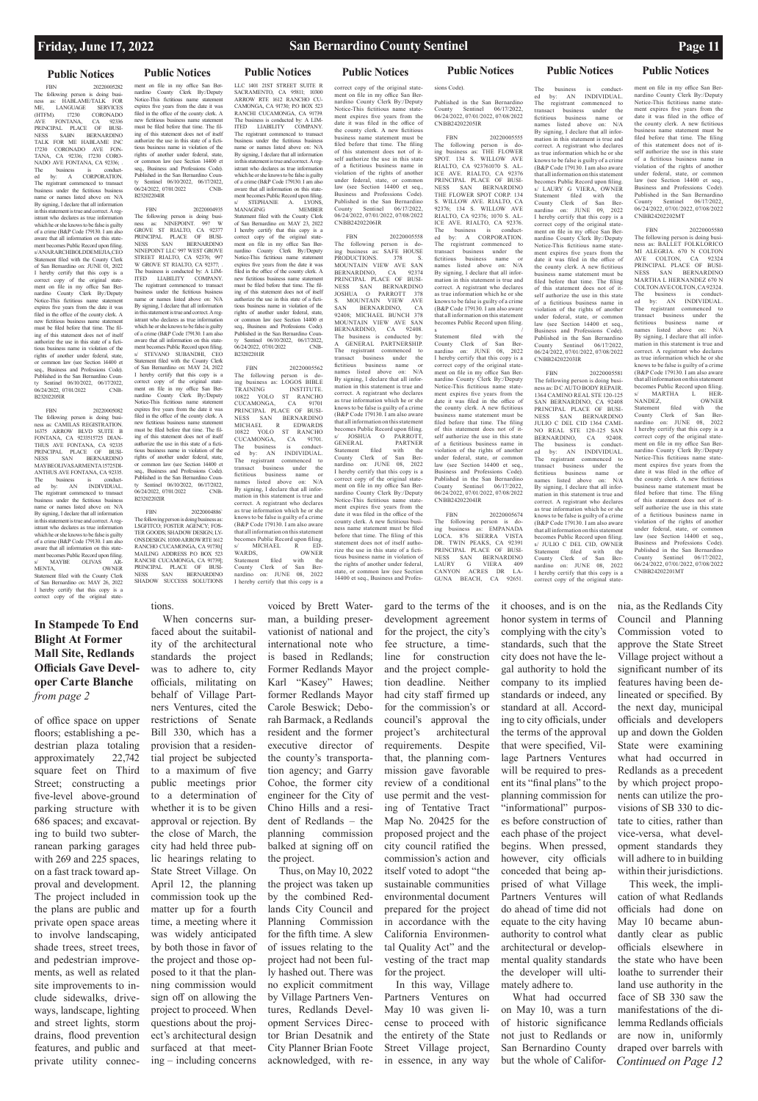# **Public Notices Public Notices Public Notices Public Notices Public Notices Public Notices Public Notices**

FBN 20220005282 The following person is doing busi-ness as: HABLAME/TALK FOR ME, LANGUAGE SERVICES (HTFM). 17230 CORONADO ). 17230 CORONADO<br>FONTANA, CA 92336 AVE FONTANA, CA 92336 PRINCIPAL PLACE OF BUSI-NESS SABN BERNARDINO TALK FOR ME HABLAME INC CORONADO AVE FON-TANA, CA 92336; 17230 CORO-NADO AVE FONTANA, CA 92336; The business is conduct-ed by: A CORPORATION. The registrant commenced to transact business under the fictitious business name or names listed above on: N/A By signing, I declare that all information in this statement is true and correct. A registrant who declares as true information which he or she knows to be false is guilty of a crime (B&P Code 179130. I am also aware that all information on this statement becomes Public Record upon filing s/ ANA R ARCHIBOLD DE MEJIA, CEO Statement filed with the County Clerk of San Bernardino on: JUNE 01, 2022 I hereby certify that this copy is a correct copy of the original state-ment on file in my office San Bernardino County Clerk By:/Deputy Notice-This fictitious name statement expires five years from the date it was filed in the office of the county clerk. A new fictitious business name statement must be filed before that time. The filing of this statement does not of itself authorize the use in this state of a fictitious business name in violation of the rights of another under federal, state, or common law (see Section 14400 et seq., Business and Professions Code). Published in the San Bernardino County Sentinel 06/10/2022, 06/17/2022,<br>06/24/2022, 07/01/2022 CNB-06/24/2022, 07/01/2022 B23202205IR

FBN 20220004935 The following person is doing busi-ness as: NINEPOINT. 997 W GROVE ST RIALTO, CA 92377 PRINCIPAL PLACE OF BUSI-NESS SAN BERNARDINO NINEPOINT LLC 997 WEST GROVE STREET RIALTO, CA 92376; 997 W GROVE ST RIALTO, CA 92377; . The business is conducted by: A LIM-ITED LIABILITY COMPANY. The registrant commenced to transact business under the fictitious business name or names listed above on: N/A By signing, I declare that all information in this statement is true and correct. A registrant who declares as true information which he or she knows to be false is guilty of a crime (B&P Code 179130. I am also aware that all information on this state-ment becomes Public Record upon filing. s/ STEVANO SUBANDHI, CEO Statement filed with the County Clerk of San Bernardino on: MAY 24, 2022 I hereby certify that this copy is a correct copy of the original statement on file in my office San Ber-nardino County Clerk By:/Deputy Notice-This fictitious name statement expires five years from the date it was filed in the office of the county clerk. A new fictitious business name statement must be filed before that time. The filing of this statement does not of itself authorize the use in this state of a ficti-tious business name in violation of the rights of another under federal, state, or common law (see Section 14400 et seq., Business and Professions Code). Published in the San Bernardino Coun-ty Sentinel 06/10/2022, 06/17/2022, 06/24/2022, 07/01/2022 CNB-

FBN 20220005082 The following person is doing business as: CAMILAS REGISTRATION. 16375 ARROW BLVD SUITE B FONTANA, CA 9233515725 DIAN-THUS AVE FONTANA, CA 92335 PRINCIPAL PLACE OF BUSI-NESS SAN BERNARDINO MAYBE OLIVAS ARMENTA 15725 DI-ANTHUS AVE FONTANA, CA 92335. The business is conduct-ed by: AN INDIVIDUAL. The registrant commenced to transact business under the fictitious business name or names listed above on: N/A By signing, I declare that all information in this statement is true and correct. A registrant who declares as true information which he or she knows to be false is guilty of a crime (B&P Code 179130. I am also aware that all information on this statement becomes Public Record upon filing. s/ MAYBE OLIVAS AR-MENTA, OWNER Statement filed with the County Clerk of San Bernardino on: MAY 26, 2022 I hereby certify that this copy is a correct copy of the original stateLLC 1401 21ST STREET SUITE R SACRAMENTO, CA 95811; 10300 ARROW RTE 1612 RANCHO CU-CAMONGA, CA 91730; P.O BOX 523 RANCHI CUCAMONGA, CA 91739.<br>The business is conducted by: A LIM-The business is conducted by: A LIM-ITED LIABILITY COMPANY. The registrant commenced to transact business under the fictitious business name or names listed above on: N/A By signing, I declare that all information in this statement is true and correct. A registrant who declares as true information which he or she knows to be false is guilty of a crime (B&P Code 179130. I am also aware that all information on this statement becomes Public Record upon filing. s/ STEPHANIE A. LYONS, MANAGING MEMBER Statement filed with the County Clerk of San Bernardino on: MAY 23, 2022 I hereby certify that this copy is a correct copy of the original state-ment on file in my office San Bernardino County Clerk By:/Deputy Notice-This fictitious name

ment on file in my office San Bernardino County Clerk By:/Deputy Notice-This fictitious name statement expires five years from the date it was filed in the office of the county clerk. A new fictitious business name statement must be filed before that time. The filing of this statement does not of itself authorize the use in this state of a fictitious business name in violation of the rights of another under federal, state, or common law (see Section 14400 et seq., Business and Professions Code). Published in the San Bernardino County Sentinel 06/10/2022, 06/17/2022, 06/24/2022, 07/01/2022 CNB-B23202204IR

correct copy of the original statement on file in my office San Bernardino County Clerk By:/Deputy Notice-This fictitious name statement expires five years from the date it was filed in the office of the county clerk. A new fictitious business name statement must be filed before that time. The filing of this statement does not of itself authorize the use in this state of a fictitious business name in violation of the rights of another under federal, state, or common law (see Section 14400 et seq., Business and Professions Code). Published in the San Bernardino County Sentinel 06/17/2022, 06/24/2022, 07/01/2022, 07/08/2022

B23202202IR

FBN 20220004886` The following person is doing business as: LSGFITCO; FOSTER AGENCY; FOS-TER GOODS; SHADOW DESIGN; LY-ONS DESIGN. 10300 ARROW RTE 1612 RANCHO CUCAMONGA, CA 91730;[ MAILING ADDRESS P.O BOX 523 RANCHI CUCAMONGA, CA 91739];<br>PRINCIPAL PLACE OF BUSI-PRINCIPAL PLACE OF BUSI-NESS SAN BERNARDINO SHADOW SUCCESS SOLUTIONS

The following person ing business as: EMPANADA<br>LOCA. 876 SIERRA VISTA 876 SIERRA VISTA DR. TWIN PEAKS, CA 92391<br>PRINCIPAL PLACE OF BUSI-PRINCIPAL PLACE NESS SAN BERNARDINO LAURY G VIERA 409 LAURY G VIERA TO CANYON ACRES DR LA-GUNA BEACH, CA 92651.

ed by: AN INDIVIDUAL.<br>The registrant commenced to The registrant commenced<br>transact business under business under the<br>business name or fictitious business name or names listed above on: N/A By signing, I declare that all information in this statement is true and correct. A registrant who declares as true information which he or she

expires five years from the date it was filed in the office of the county clerk. A new fictitious business name statement must be filed before that time. The filing of this statement does not of itself authorize the use in this state of a fictitious business name in violation of the rights of another under federal, state, or common law (see Section 14400 et Business and Professions Code). Published in the San Bernardino County Sentinel 06/10/2022, 06/17/2022, 06/24/2022, 07/01/2022 CNB-B23202201IR

FBN 20220005562 The following person is do-ing business as: LOGOS BIBLE TRAINING INSTITUTE. 10822 YOLO ST RANCHO CUCAMONGA, CA 91701 PRINCIPAL PLACE OF BUSI-NESS SAN BERNARDINO<br>MICHAEL R EDWARDS MICHAEL R EDWARDS 10822 YOLO ST RANCHO CUCAMONGA, CA 91701. The business is conducted by: AN INDIVIDUAL. The registrant commenced to transact business under the fictitious business name or names listed above on: N/A By signing, I declare that all infor-mation in this statement is true and correct. A registrant who declares as true information which he or she knows to be false is guilty of a crime (B&P Code 179130. I am also aware that all information on this statement becomes Public Record upon filing. s/ MICHAEL R ED-WARDS, OWNER OWNER<br>filed with the Statement filed with the County Clerk of San Ber-nardino on: JUNE 08, 2022 I hereby certify that this copy is a

CNBB24202206IR

PRODUCTIONS.

 $Statement$ 

FBN 20220005558 The following person is do-ing business as: SAFE HOUSE

MOUNTAIN VIEW AVE SAN BERNARDINO, CA 92374 PRINCIPAL PLACE OF BUSI-NESS SAN BERNARDINO JOSHUA O PARROTT 378 S. MOUNTAIN VIEW AVE SAN BERNARDINO, CA 92408; MICHAEL BUNCH 378 MOUNTAIN VIEW AVE SAN BERNARDINO, CA 92408. The business is conducted by: A GENERAL PARTNERSHIP. The registrant commenced to<br>transact business under the business under the fictitious business name or<br>names listed above on: N/A names listed above on: By signing, I declare that all information in this statement is true and correct. A registrant who declares as true information which he or she knows to be false is guilty of a crime (B&P Code 179130. I am also aware that all information on this statement becomes Public Record upon filing. JOSHUA O PARROTT,<br>ERAL PARTNER GENERAL PARTNER<br>Statement filed with the

County Clerk of San Bernardino on: JUNE 08, 2022 I hereby certify that this copy is a correct copy of the original statement on file in my office San Bernardino County Clerk By:/Deputy Notice-This fictitious name statement expires five years from the date it was filed in the office of the county clerk. A new fictitious business name statement must be filed before that time. The filing of this statement does not of itself authorize the use in this state of a fictitious business name in violation of the rights of another under federal, state, or common law (see Section 14400 et seq., Business and Professions Code).

Published in the San Bernardino County Sentinel 06/17/2022, 06/24/2022, 07/01/2022, 07/08/2022

CNBB24202205IR

The following person is do-ing business as: THE FLOWER SPOT. 134 S. WILLOW AVE RIALTO, CA 923761070 S. AL-ICE AVE. RIALTO, CA 92376 PRINCIPAL PLACE OF BUSI-NESS SAN BERNARDINO THE FLOWER SPOT CORP. 134 S. WILLOW AVE. RIALTO, CA 92376; 134 S. WILLOW AVE RIALTO, CA 92376; 1070 S. AL-ICE AVE. RIALTO, CA 92376. The business is conduct-ed by: A CORPORATION. The registrant commenced to transact business under the fictitious business name or names listed above on: N/A By signing, I declare that all information in this statement is true and correct. A registrant who declares as true information which he or she knows to be false is guilty of a crime (B&P Code 179130. I am also aware that all information on this statement becomes Public Record upon filing. s / Statement filed with the County Clerk of San Bernardino on: JUNE 08, 2022

20220005555

The business

### I hereby certify that this copy is a correct copy of the original statement on file in my office San Bernardino County Clerk By:/Deputy Notice-This fictitious name statement expires five years from the date it was filed in the office of the county clerk. A new fictitious business name statement must be filed before that time. The filing of this statement does not of itself authorize the use in this state of a fictitious business name in violation of the rights of another under federal, state, or common law (see Section 14400 et seq., Business and Professions Code). Published in the San Bernardino County Sentinel 06/17/2022, 06/24/2022, 07/01/2022, 07/08/2022 CNBB24202204IR FBN 20220005674

knows to be false is guilty of a crime (B&P Code 179130. I am also aware that all information on this statement becomes Public Record upon filing. s/ LAURY G VIERA, OWNER Statement filed with the County Clerk of San Ber-nardino on: JUNE 09, 2022 I hereby certify that this copy is a correct copy of the original statement on file in my office San Bernardino County Clerk By:/Deputy Notice-This fictitious name statement expires five years from the date it was filed in the office of the county clerk. A new fictitious business name statement must be filed before that time. The filing of this statement does not of itself authorize the use in this state of a fictitious business name in violation of the rights of another under federal, state, or common law (see Section 14400 et seq., Business and Professions Code). Published in the San Bernardino County Sentinel 06/17/2022, 06/24/2022, 07/01/2022, 07/08/2022 CNBB24202203IR

FBN 20220005581 The following person is doing busi-ness as: D C AUTO BODY REPAIR. 1364 CAMINO REAL STE 120-125 SAN BERNARDINO, CA 92408 PRINCIPAL PLACE OF BUSI-NESS SAN BERNARDINO JULIO C DEL CID 1364 CAMI-NO REAL STE 120-125 SAN BERNARDINO,<br>The business  $\begin{array}{cc}\nCA & 92408 \\
is & conductor\n\end{array}$ ed by: AN INDIVIDUAL. The registrant commenced transact business under the business name or names listed above on: N/A By signing, I declare that all information in this statement is true and correct. A registrant who declares as true information which he or she knows to be false is guilty of a crime (B&P Code 179130. I am also aware that all information on this statement becomes Public Record upon filing. s/ JULIO C DEL CID, OWNER Statement filed with the County Clerk of San Bernardino on: JUNE 08, 2022 I hereby certify that this copy is a correct copy of the original state-

ment on file in my office San Bernardino County Clerk By:/Deputy Notice-This fictitious name statement expires five years from the date it was filed in the office of the county clerk. A new fictitious business name statement must be filed before that time. The filing of this statement does not of itself authorize the use in this state of a fictitious business name in violation of the rights of another under federal, state, or common law (see Section 14400 et seq., Business and Professions Code). Published in the San Bernardino County Sentinel 06/17/2022, 06/24/2022, 07/01/2022, 07/08/2022 CNBB24202202MT

FBN 20220005580 The following person is doing business as: BALLET FOLKLORICO MI ALEGRIA. 670 N COLTON<br>AVE COLTON. CA 92324 AVE COLTON, CA 92324 PRINCIPAL PLACE OF BUSI-NESS SAN BERNARDINO MARTHA L HERNANDEZ 670 N COLTON AVECOLTON, CA 92324.<br>The business is conduct-The business is<br>ed by: AN INI by: AN INDIVIDUAL The registrant commenced to<br>transact business under the transact business under fictitious business name or<br>names listed above on: N/A names listed above on: By signing, I declare that all information in this statement is true and correct. A registrant who declares as true information which he or she knows to be false is guilty of a crime (B&P Code 179130. I am also aware that all information on this statement becomes Public Record upon filing. MARTHA L HER-<br>DEZ. OWNER S/<sub>NANDEZ</sub>, OWNER<br>Statement filed with Statement filed with the County Clerk of San Ber-nardino on: JUNE 08, 2022 I hereby certify that this copy is a correct copy of the original statement on file in my office San Bernardino County Clerk By:/Deputy Notice-This fictitious name state-ment expires five years from the date it was filed in the office of the county clerk. A new fictitious business name statement must be filed before that time. The filing of this statement does not of itself authorize the use in this state of a fictitious business name in violation of the rights of another under federal, state, or common law (see Section 14400 et seq., Business and Professions Code). Published in the San Bernardino County Sentinel 06/17/2022, 06/24/2022, 07/01/2022, 07/08/2022 CNBB24202201MT

of office space on upper floors; establishing a pedestrian plaza totaling approximately 22,742 square feet on Third Street; constructing a five-level above-ground parking structure with 686 spaces; and excavating to build two subterranean parking garages with 269 and 225 spaces, on a fast track toward approval and development. The project included in the plans are public and private open space areas to involve landscaping, shade trees, street trees, and pedestrian improvements, as well as related site improvements to include sidewalks, driveways, landscape, lighting and street lights, storm drains, flood prevention features, and public and private utility connec-

## tions.

When concerns surfaced about the suitability of the architectural standards the project was to adhere to, city

officials, militating on behalf of Village Partners Ventures, cited the restrictions of Senate Bill 330, which has a provision that a residential project be subjected to a maximum of five public meetings prior to a determination of whether it is to be given approval or rejection. By the close of March, the city had held three public hearings relating to State Street Village. On April 12, the planning commission took up the matter up for a fourth time, a meeting where it was widely anticipated by both those in favor of the project and those opposed to it that the planning commission would sign off on allowing the project to proceed. When questions about the project's architectural design surfaced at that meeting – including concerns

voiced by Brett Waterman, a building preservationist of national and international note who is based in Redlands; Former Redlands Mayor Karl "Kasey" Hawes; former Redlands Mayor Carole Beswick; Deborah Barmack, a Redlands resident and the former executive director of the county's transportation agency; and Garry Cohoe, the former city engineer for the City of Chino Hills and a resident of Redlands – the planning commission balked at signing off on the project. Thus, on May 10, 2022 the project was taken up by the combined Redlands City Council and Planning Commission for the fifth time. A slew of issues relating to the project had not been fully hashed out. There was no explicit commitment by Village Partners Ventures, Redlands Development Services Director Brian Desatnik and City Planner Brian Foote acknowledged, with re-

gard to the terms of the development agreement for the project, the city's fee structure, a timeline for construction and the project completion deadline. Neither had city staff firmed up for the commission's or council's approval the project's architectural requirements. Despite that, the planning commission gave favorable review of a conditional use permit and the vesting of Tentative Tract Map No. 20425 for the proposed project and the city council ratified the commission's action and itself voted to adopt "the sustainable communities environmental document prepared for the project in accordance with the California Environmental Quality Act" and the vesting of the tract map for the project. In this way, Village Partners Ventures on May 10 was given license to proceed with the entirety of the State Street Village project, in essence, in any way

it chooses, and is on the honor system in terms of complying with the city's standards, such that the city does not have the legal authority to hold the company to its implied standards or indeed, any standard at all. According to city officials, under the terms of the approval that were specified, Village Partners Ventures will be required to present its "final plans" to the planning commission for "informational" purposes before construction of each phase of the project begins. When pressed, however, city officials conceded that being apprised of what Village Partners Ventures will do ahead of time did not equate to the city having authority to control what architectural or developmental quality standards the developer will ultimately adhere to. What had occurred on May 10, was a turn of historic significance not just to Redlands or San Bernardino County but the whole of Califor-

nia, as the Redlands City Council and Planning Commission voted to approve the State Street Village project without a significant number of its features having been delineated or specified. By the next day, municipal officials and developers up and down the Golden State were examining what had occurred in Redlands as a precedent by which project proponents can utilize the provisions of SB 330 to dictate to cities, rather than vice-versa, what development standards they will adhere to in building within their jurisdictions. This week, the implication of what Redlands officials had done on May 10 became abundantly clear as public officials elsewhere in the state who have been loathe to surrender their land use authority in the face of SB 330 saw the manifestations of the dilemma Redlands officials are now in, uniformly draped over barrels with *Continued on Page 12*

# **In Stampede To End Blight At Former Mall Site, Redlands Officials Gave Developer Carte Blanche**  *from page 2*